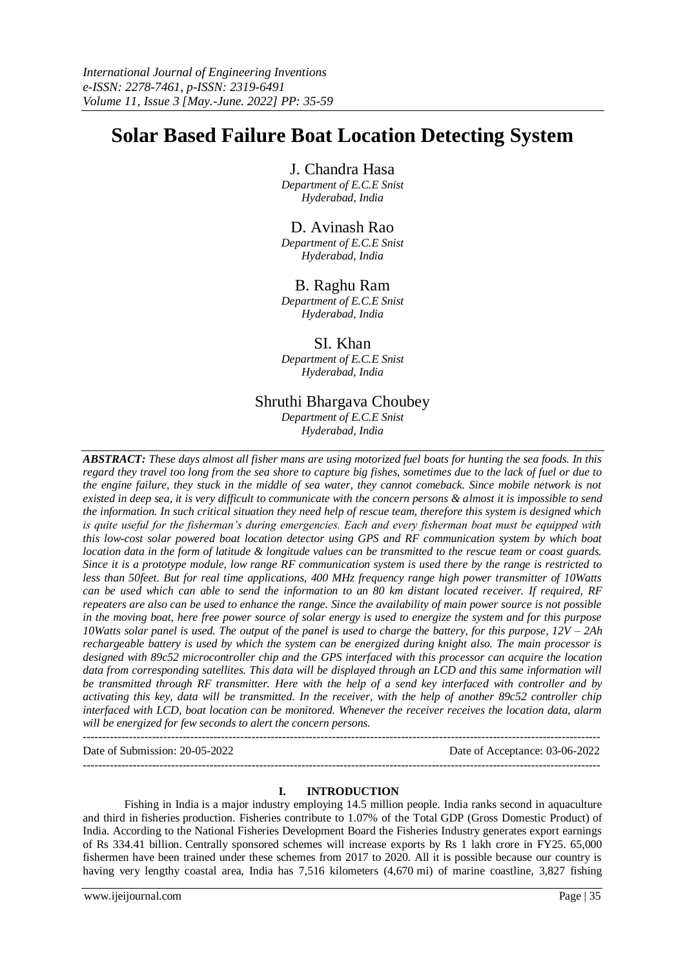# **Solar Based Failure Boat Location Detecting System**

J. Chandra Hasa

*Department of E.C.E Snist Hyderabad, India*

D. Avinash Rao

*Department of E.C.E Snist Hyderabad, India*

# B. Raghu Ram

*Department of E.C.E Snist Hyderabad, India*

SI. Khan

*Department of E.C.E Snist Hyderabad, India*

# Shruthi Bhargava Choubey

*Department of E.C.E Snist Hyderabad, India*

*ABSTRACT: These days almost all fisher mans are using motorized fuel boats for hunting the sea foods. In this regard they travel too long from the sea shore to capture big fishes, sometimes due to the lack of fuel or due to the engine failure, they stuck in the middle of sea water, they cannot comeback. Since mobile network is not existed in deep sea, it is very difficult to communicate with the concern persons & almost it is impossible to send the information. In such critical situation they need help of rescue team, therefore this system is designed which is quite useful for the fisherman's during emergencies. Each and every fisherman boat must be equipped with this low-cost solar powered boat location detector using GPS and RF communication system by which boat location data in the form of latitude & longitude values can be transmitted to the rescue team or coast guards. Since it is a prototype module, low range RF communication system is used there by the range is restricted to less than 50feet. But for real time applications, 400 MHz frequency range high power transmitter of 10Watts can be used which can able to send the information to an 80 km distant located receiver. If required, RF repeaters are also can be used to enhance the range. Since the availability of main power source is not possible in the moving boat, here free power source of solar energy is used to energize the system and for this purpose 10Watts solar panel is used. The output of the panel is used to charge the battery, for this purpose, 12V – 2Ah rechargeable battery is used by which the system can be energized during knight also. The main processor is designed with 89c52 microcontroller chip and the GPS interfaced with this processor can acquire the location data from corresponding satellites. This data will be displayed through an LCD and this same information will be transmitted through RF transmitter. Here with the help of a send key interfaced with controller and by activating this key, data will be transmitted. In the receiver, with the help of another 89c52 controller chip interfaced with LCD, boat location can be monitored. Whenever the receiver receives the location data, alarm will be energized for few seconds to alert the concern persons.* 

Date of Submission: 20-05-2022 Date of Acceptance: 03-06-2022

---------------------------------------------------------------------------------------------------------------------------------------

# **I. INTRODUCTION**

---------------------------------------------------------------------------------------------------------------------------------------

Fishing in India is a major industry employing 14.5 million people. India ranks second in aquaculture and third in [fisheries](https://en.wikipedia.org/wiki/Fishery) production. Fisheries contribute to 1.07% of the Total [GDP](https://en.wikipedia.org/wiki/Gross_domestic_product) (Gross Domestic Product) of India. According to the National Fisheries Development Board the Fisheries Industry generates export earnings of Rs 334.41 billion. Centrally sponsored schemes will increase exports by Rs 1 lakh crore in FY25. 65,000 fishermen have been trained under these schemes from 2017 to 2020. All it is possible because our country is having very lengthy coastal area, India has 7,516 kilometers (4,670 mi) of marine coastline, 3,827 fishing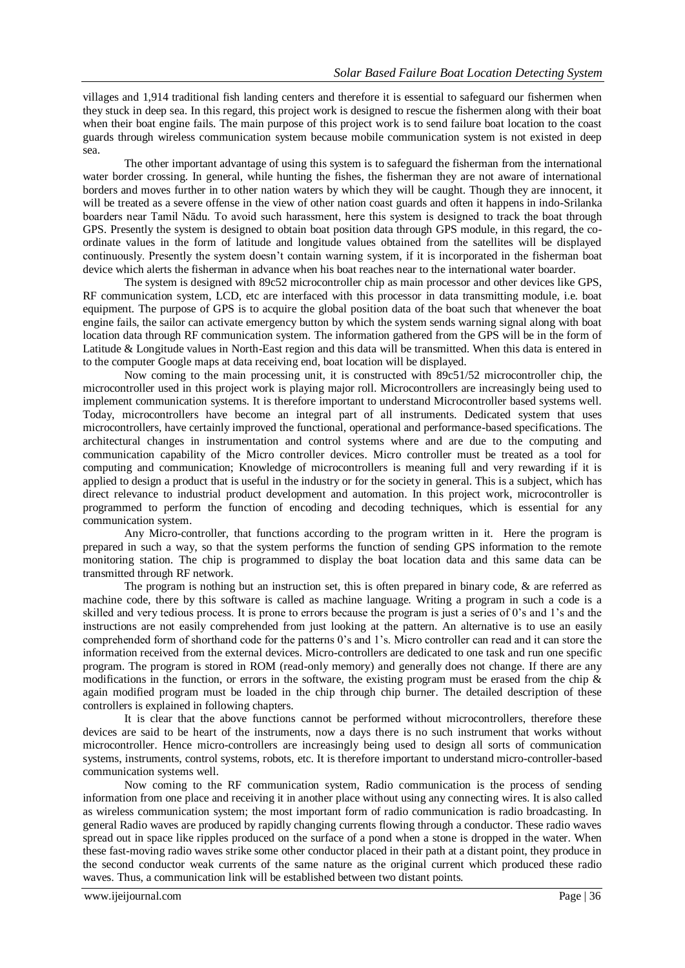villages and 1,914 traditional fish landing centers and therefore it is essential to safeguard our fishermen when they stuck in deep sea. In this regard, this project work is designed to rescue the fishermen along with their boat when their boat engine fails. The main purpose of this project work is to send failure boat location to the coast guards through wireless communication system because mobile communication system is not existed in deep sea.

The other important advantage of using this system is to safeguard the fisherman from the international water border crossing. In general, while hunting the fishes, the fisherman they are not aware of international borders and moves further in to other nation waters by which they will be caught. Though they are innocent, it will be treated as a severe offense in the view of other nation coast guards and often it happens in indo-Srilanka boarders near Tamil Nādu. To avoid such harassment, here this system is designed to track the boat through GPS. Presently the system is designed to obtain boat position data through GPS module, in this regard, the coordinate values in the form of latitude and longitude values obtained from the satellites will be displayed continuously. Presently the system doesn't contain warning system, if it is incorporated in the fisherman boat device which alerts the fisherman in advance when his boat reaches near to the international water boarder.

The system is designed with 89c52 microcontroller chip as main processor and other devices like GPS, RF communication system, LCD, etc are interfaced with this processor in data transmitting module, i.e. boat equipment. The purpose of GPS is to acquire the global position data of the boat such that whenever the boat engine fails, the sailor can activate emergency button by which the system sends warning signal along with boat location data through RF communication system. The information gathered from the GPS will be in the form of Latitude & Longitude values in North-East region and this data will be transmitted. When this data is entered in to the computer Google maps at data receiving end, boat location will be displayed.

Now coming to the main processing unit, it is constructed with 89c51/52 microcontroller chip, the microcontroller used in this project work is playing major roll. Microcontrollers are increasingly being used to implement communication systems. It is therefore important to understand Microcontroller based systems well. Today, microcontrollers have become an integral part of all instruments. Dedicated system that uses microcontrollers, have certainly improved the functional, operational and performance-based specifications. The architectural changes in instrumentation and control systems where and are due to the computing and communication capability of the Micro controller devices. Micro controller must be treated as a tool for computing and communication; Knowledge of microcontrollers is meaning full and very rewarding if it is applied to design a product that is useful in the industry or for the society in general. This is a subject, which has direct relevance to industrial product development and automation. In this project work, microcontroller is programmed to perform the function of encoding and decoding techniques, which is essential for any communication system.

Any Micro-controller, that functions according to the program written in it. Here the program is prepared in such a way, so that the system performs the function of sending GPS information to the remote monitoring station. The chip is programmed to display the boat location data and this same data can be transmitted through RF network.

The program is nothing but an instruction set, this is often prepared in binary code, & are referred as machine code, there by this software is called as machine language. Writing a program in such a code is a skilled and very tedious process. It is prone to errors because the program is just a series of 0's and 1's and the instructions are not easily comprehended from just looking at the pattern. An alternative is to use an easily comprehended form of shorthand code for the patterns 0's and 1's. Micro controller can read and it can store the information received from the external devices. Micro-controllers are dedicated to one task and run one specific program. The program is stored in ROM (read-only memory) and generally does not change. If there are any modifications in the function, or errors in the software, the existing program must be erased from the chip  $\&$ again modified program must be loaded in the chip through chip burner. The detailed description of these controllers is explained in following chapters.

It is clear that the above functions cannot be performed without microcontrollers, therefore these devices are said to be heart of the instruments, now a days there is no such instrument that works without microcontroller. Hence micro-controllers are increasingly being used to design all sorts of communication systems, instruments, control systems, robots, etc. It is therefore important to understand micro-controller-based communication systems well.

Now coming to the RF communication system, Radio communication is the process of sending information from one place and receiving it in another place without using any connecting wires. It is also called as wireless communication system; the most important form of radio communication is radio broadcasting. In general Radio waves are produced by rapidly changing currents flowing through a conductor. These radio waves spread out in space like ripples produced on the surface of a pond when a stone is dropped in the water. When these fast-moving radio waves strike some other conductor placed in their path at a distant point, they produce in the second conductor weak currents of the same nature as the original current which produced these radio waves. Thus, a communication link will be established between two distant points.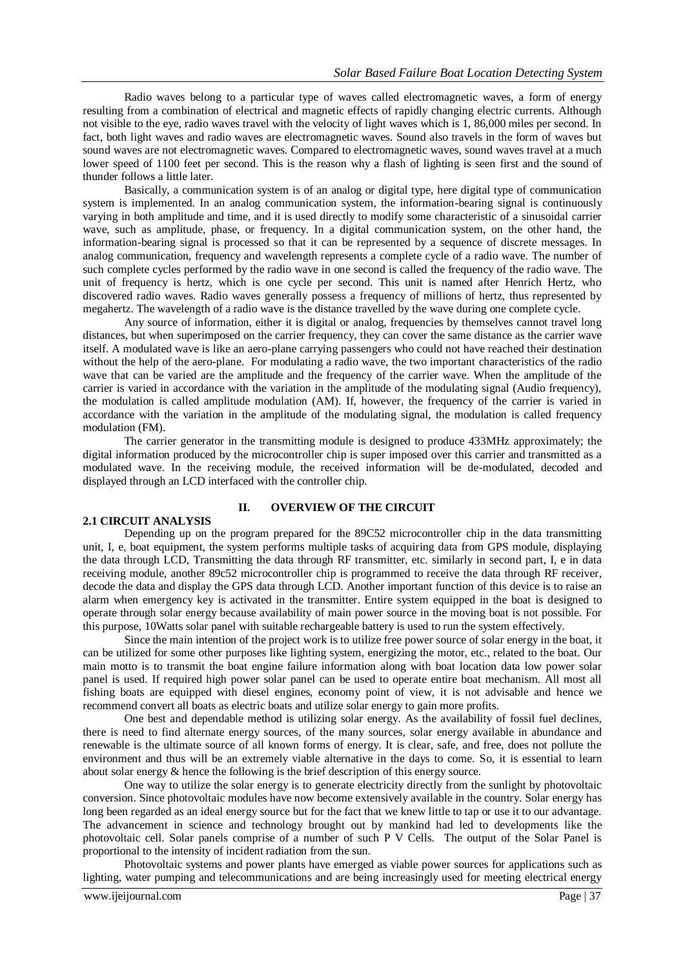Radio waves belong to a particular type of waves called electromagnetic waves, a form of energy resulting from a combination of electrical and magnetic effects of rapidly changing electric currents. Although not visible to the eye, radio waves travel with the velocity of light waves which is 1, 86,000 miles per second. In fact, both light waves and radio waves are electromagnetic waves. Sound also travels in the form of waves but sound waves are not electromagnetic waves. Compared to electromagnetic waves, sound waves travel at a much lower speed of 1100 feet per second. This is the reason why a flash of lighting is seen first and the sound of thunder follows a little later.

Basically, a communication system is of an analog or digital type, here digital type of communication system is implemented. In an analog communication system, the information-bearing signal is continuously varying in both amplitude and time, and it is used directly to modify some characteristic of a sinusoidal carrier wave, such as amplitude, phase, or frequency. In a digital communication system, on the other hand, the information-bearing signal is processed so that it can be represented by a sequence of discrete messages. In analog communication, frequency and wavelength represents a complete cycle of a radio wave. The number of such complete cycles performed by the radio wave in one second is called the frequency of the radio wave. The unit of frequency is hertz, which is one cycle per second. This unit is named after Henrich Hertz, who discovered radio waves. Radio waves generally possess a frequency of millions of hertz, thus represented by megahertz. The wavelength of a radio wave is the distance travelled by the wave during one complete cycle.

Any source of information, either it is digital or analog, frequencies by themselves cannot travel long distances, but when superimposed on the carrier frequency, they can cover the same distance as the carrier wave itself. A modulated wave is like an aero-plane carrying passengers who could not have reached their destination without the help of the aero-plane. For modulating a radio wave, the two important characteristics of the radio wave that can be varied are the amplitude and the frequency of the carrier wave. When the amplitude of the carrier is varied in accordance with the variation in the amplitude of the modulating signal (Audio frequency), the modulation is called amplitude modulation (AM). If, however, the frequency of the carrier is varied in accordance with the variation in the amplitude of the modulating signal, the modulation is called frequency modulation (FM).

The carrier generator in the transmitting module is designed to produce 433MHz approximately; the digital information produced by the microcontroller chip is super imposed over this carrier and transmitted as a modulated wave. In the receiving module, the received information will be de-modulated, decoded and displayed through an LCD interfaced with the controller chip.

# **2.1 CIRCUIT ANALYSIS**

# **II. OVERVIEW OF THE CIRCUIT**

Depending up on the program prepared for the 89C52 microcontroller chip in the data transmitting unit, I, e, boat equipment, the system performs multiple tasks of acquiring data from GPS module, displaying the data through LCD, Transmitting the data through RF transmitter, etc. similarly in second part, I, e in data receiving module, another 89c52 microcontroller chip is programmed to receive the data through RF receiver, decode the data and display the GPS data through LCD. Another important function of this device is to raise an alarm when emergency key is activated in the transmitter. Entire system equipped in the boat is designed to operate through solar energy because availability of main power source in the moving boat is not possible. For this purpose, 10Watts solar panel with suitable rechargeable battery is used to run the system effectively.

Since the main intention of the project work is to utilize free power source of solar energy in the boat, it can be utilized for some other purposes like lighting system, energizing the motor, etc., related to the boat. Our main motto is to transmit the boat engine failure information along with boat location data low power solar panel is used. If required high power solar panel can be used to operate entire boat mechanism. All most all fishing boats are equipped with diesel engines, economy point of view, it is not advisable and hence we recommend convert all boats as electric boats and utilize solar energy to gain more profits.

One best and dependable method is utilizing solar energy. As the availability of fossil fuel declines, there is need to find alternate energy sources, of the many sources, solar energy available in abundance and renewable is the ultimate source of all known forms of energy. It is clear, safe, and free, does not pollute the environment and thus will be an extremely viable alternative in the days to come. So, it is essential to learn about solar energy & hence the following is the brief description of this energy source.

One way to utilize the solar energy is to generate electricity directly from the sunlight by photovoltaic conversion. Since photovoltaic modules have now become extensively available in the country. Solar energy has long been regarded as an ideal energy source but for the fact that we knew little to tap or use it to our advantage. The advancement in science and technology brought out by mankind had led to developments like the photovoltaic cell. Solar panels comprise of a number of such P V Cells. The output of the Solar Panel is proportional to the intensity of incident radiation from the sun.

Photovoltaic systems and power plants have emerged as viable power sources for applications such as lighting, water pumping and telecommunications and are being increasingly used for meeting electrical energy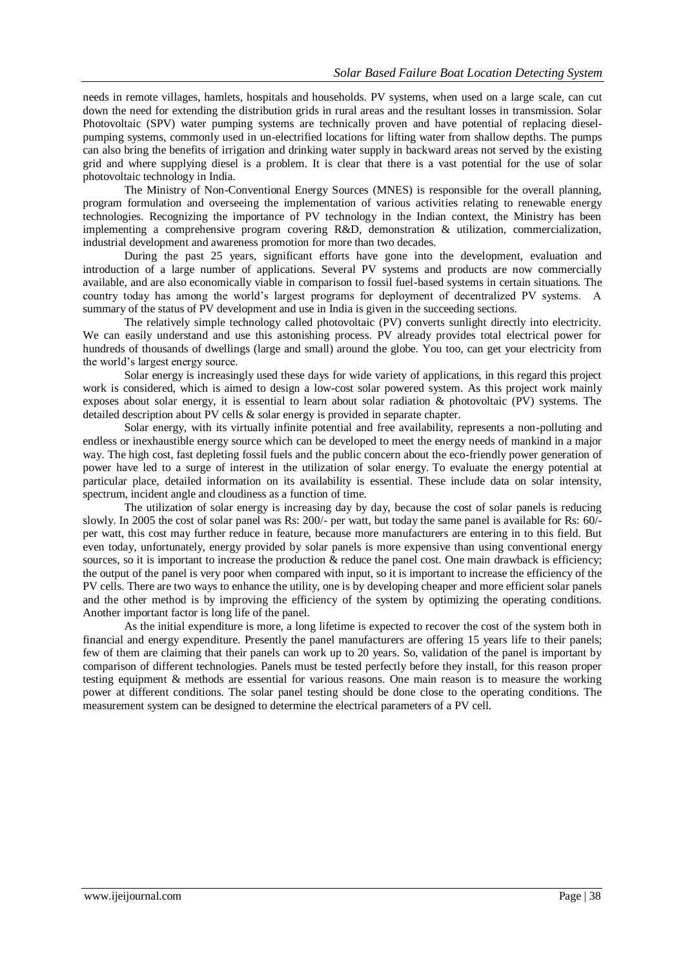needs in remote villages, hamlets, hospitals and households. PV systems, when used on a large scale, can cut down the need for extending the distribution grids in rural areas and the resultant losses in transmission. Solar Photovoltaic (SPV) water pumping systems are technically proven and have potential of replacing dieselpumping systems, commonly used in un-electrified locations for lifting water from shallow depths. The pumps can also bring the benefits of irrigation and drinking water supply in backward areas not served by the existing grid and where supplying diesel is a problem. It is clear that there is a vast potential for the use of solar photovoltaic technology in India.

The Ministry of Non-Conventional Energy Sources (MNES) is responsible for the overall planning, program formulation and overseeing the implementation of various activities relating to renewable energy technologies. Recognizing the importance of PV technology in the Indian context, the Ministry has been implementing a comprehensive program covering R&D, demonstration & utilization, commercialization, industrial development and awareness promotion for more than two decades.

During the past 25 years, significant efforts have gone into the development, evaluation and introduction of a large number of applications. Several PV systems and products are now commercially available, and are also economically viable in comparison to fossil fuel-based systems in certain situations. The country today has among the world's largest programs for deployment of decentralized PV systems. A summary of the status of PV development and use in India is given in the succeeding sections.

The relatively simple technology called photovoltaic (PV) converts sunlight directly into electricity. We can easily understand and use this astonishing process. PV already provides total electrical power for hundreds of thousands of dwellings (large and small) around the globe. You too, can get your electricity from the world's largest energy source.

Solar energy is increasingly used these days for wide variety of applications, in this regard this project work is considered, which is aimed to design a low-cost solar powered system. As this project work mainly exposes about solar energy, it is essential to learn about solar radiation & photovoltaic (PV) systems. The detailed description about PV cells & solar energy is provided in separate chapter.

Solar energy, with its virtually infinite potential and free availability, represents a non-polluting and endless or inexhaustible energy source which can be developed to meet the energy needs of mankind in a major way. The high cost, fast depleting fossil fuels and the public concern about the eco-friendly power generation of power have led to a surge of interest in the utilization of solar energy. To evaluate the energy potential at particular place, detailed information on its availability is essential. These include data on solar intensity, spectrum, incident angle and cloudiness as a function of time.

The utilization of solar energy is increasing day by day, because the cost of solar panels is reducing slowly. In 2005 the cost of solar panel was Rs: 200/- per watt, but today the same panel is available for Rs: 60/ per watt, this cost may further reduce in feature, because more manufacturers are entering in to this field. But even today, unfortunately, energy provided by solar panels is more expensive than using conventional energy sources, so it is important to increase the production & reduce the panel cost. One main drawback is efficiency; the output of the panel is very poor when compared with input, so it is important to increase the efficiency of the PV cells. There are two ways to enhance the utility, one is by developing cheaper and more efficient solar panels and the other method is by improving the efficiency of the system by optimizing the operating conditions. Another important factor is long life of the panel.

As the initial expenditure is more, a long lifetime is expected to recover the cost of the system both in financial and energy expenditure. Presently the panel manufacturers are offering 15 years life to their panels; few of them are claiming that their panels can work up to 20 years. So, validation of the panel is important by comparison of different technologies. Panels must be tested perfectly before they install, for this reason proper testing equipment & methods are essential for various reasons. One main reason is to measure the working power at different conditions. The solar panel testing should be done close to the operating conditions. The measurement system can be designed to determine the electrical parameters of a PV cell.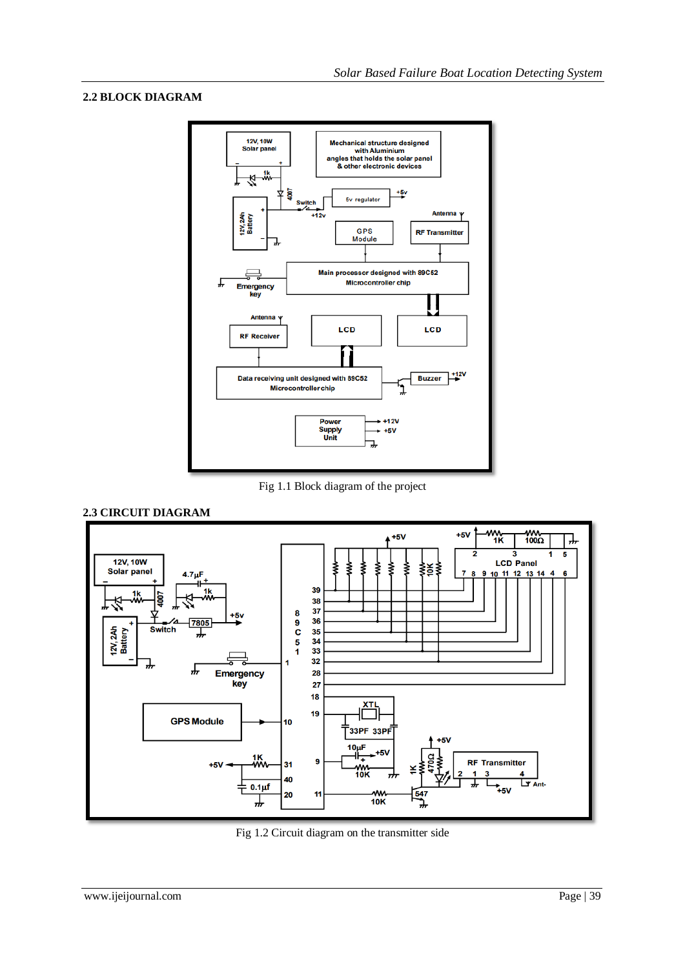# **2.2 BLOCK DIAGRAM**



Fig 1.1 Block diagram of the project





Fig 1.2 Circuit diagram on the transmitter side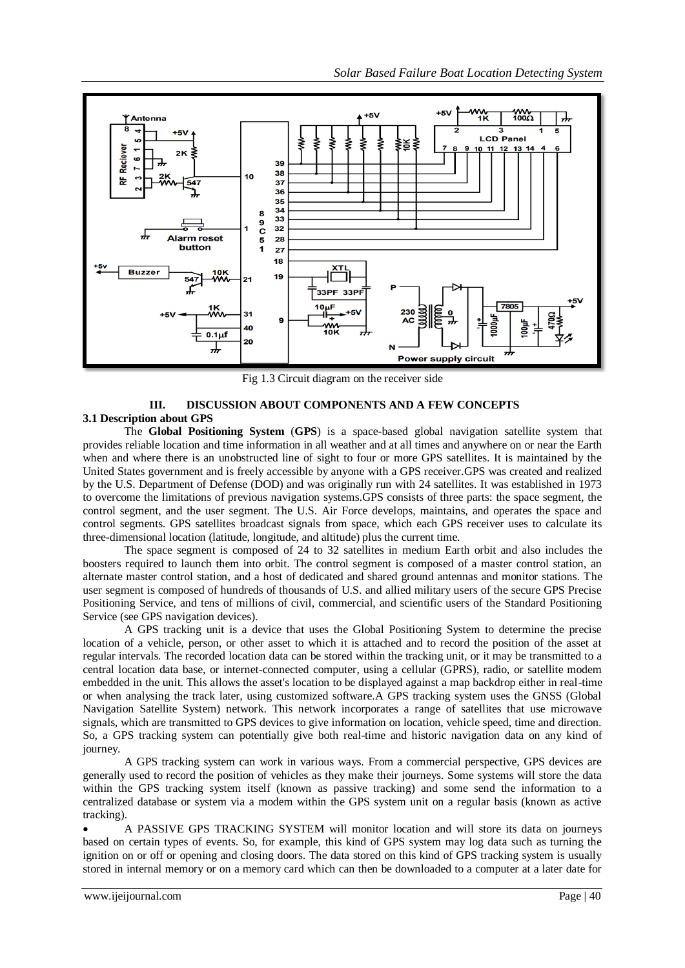

Fig 1.3 Circuit diagram on the receiver side

# **III. DISCUSSION ABOUT COMPONENTS AND A FEW CONCEPTS 3.1 Description about GPS**

The **Global Positioning System** (**GPS**) is a space-based global navigation satellite system that provides reliable location and time information in all weather and at all times and anywhere on or near the Earth when and where there is an unobstructed line of sight to four or more GPS satellites. It is maintained by the United States government and is freely accessible by anyone with a GPS receiver.GPS was created and realized by the U.S. Department of Defense (DOD) and was originally run with 24 satellites. It was established in 1973 to overcome the limitations of previous navigation systems.GPS consists of three parts: the space segment, the control segment, and the user segment. The U.S. Air Force develops, maintains, and operates the space and control segments. GPS satellites broadcast signals from space, which each GPS receiver uses to calculate its three-dimensional location (latitude, longitude, and altitude) plus the current time.

The space segment is composed of 24 to 32 satellites in medium Earth orbit and also includes the boosters required to launch them into orbit. The control segment is composed of a master control station, an alternate master control station, and a host of dedicated and shared ground antennas and monitor stations. The user segment is composed of hundreds of thousands of U.S. and allied military users of the secure GPS Precise Positioning Service, and tens of millions of civil, commercial, and scientific users of the Standard Positioning Service (see GPS navigation devices).

A GPS tracking unit is a device that uses the Global Positioning System to determine the precise location of a vehicle, person, or other asset to which it is attached and to record the position of the asset at regular intervals. The recorded location data can be stored within the tracking unit, or it may be transmitted to a central location data base, or internet-connected computer, using a cellular (GPRS), radio, or satellite modem embedded in the unit. This allows the asset's location to be displayed against a map backdrop either in real-time or when analysing the track later, using customized software.A GPS tracking system uses the GNSS (Global Navigation Satellite System) network. This network incorporates a range of satellites that use microwave signals, which are transmitted to GPS devices to give information on location, vehicle speed, time and direction. So, a GPS tracking system can potentially give both real-time and historic navigation data on any kind of journey.

A GPS tracking system can work in various ways. From a commercial perspective, GPS devices are generally used to record the position of vehicles as they make their journeys. Some systems will store the data within the GPS tracking system itself (known as passive tracking) and some send the information to a centralized database or system via a modem within the GPS system unit on a regular basis (known as active tracking).

 A PASSIVE GPS TRACKING SYSTEM will monitor location and will store its data on journeys based on certain types of events. So, for example, this kind of GPS system may log data such as turning the ignition on or off or opening and closing doors. The data stored on this kind of GPS tracking system is usually stored in internal memory or on a memory card which can then be downloaded to a computer at a later date for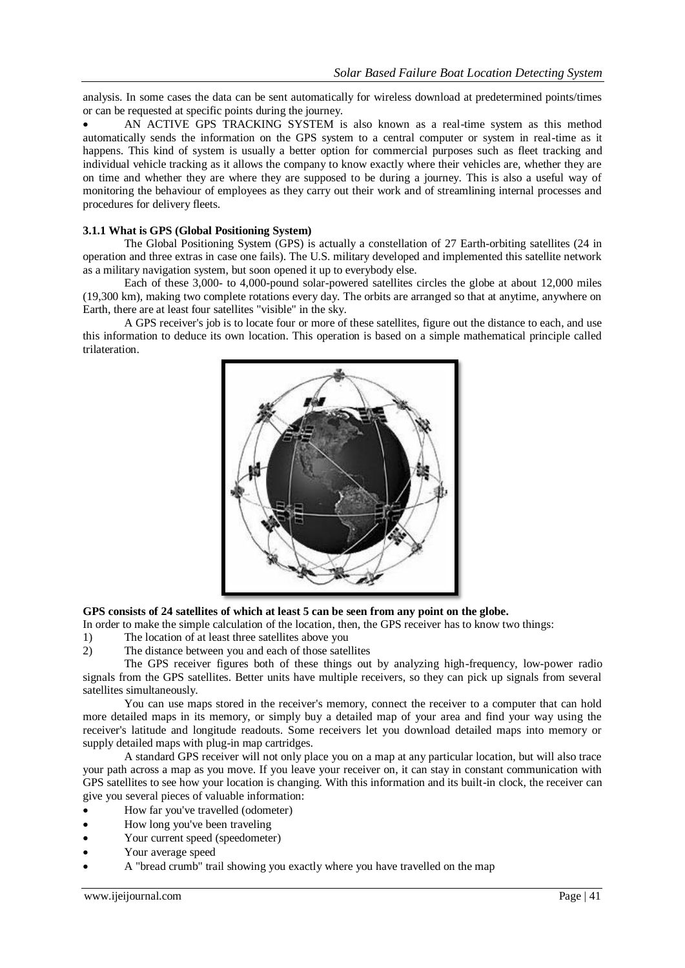analysis. In some cases the data can be sent automatically for wireless download at predetermined points/times or can be requested at specific points during the journey.

 AN ACTIVE GPS TRACKING SYSTEM is also known as a real-time system as this method automatically sends the information on the GPS system to a central computer or system in real-time as it happens. This kind of system is usually a better option for commercial purposes such as fleet tracking and individual vehicle tracking as it allows the company to know exactly where their vehicles are, whether they are on time and whether they are where they are supposed to be during a journey. This is also a useful way of monitoring the behaviour of employees as they carry out their work and of streamlining internal processes and procedures for delivery fleets.

# **3.1.1 What is GPS (Global Positioning System)**

The Global Positioning System (GPS) is actually a constellation of 27 Earth-orbiting satellites (24 in operation and three extras in case one fails). The U.S. military developed and implemented this satellite network as a military navigation system, but soon opened it up to everybody else.

Each of these 3,000- to 4,000-pound solar-powered satellites circles the globe at about 12,000 miles (19,300 km), making two complete rotations every day. The orbits are arranged so that at anytime, anywhere on Earth, there are at least four satellites "visible" in the sky.

A GPS receiver's job is to locate four or more of these satellites, figure out the distance to each, and use this information to deduce its own location. This operation is based on a simple mathematical principle called trilateration.



# **GPS consists of 24 satellites of which at least 5 can be seen from any point on the globe.**

In order to make the simple calculation of the location, then, the GPS receiver has to know two things:

- 1) The location of at least three satellites above you
- 2) The distance between you and each of those satellites

The GPS receiver figures both of these things out by analyzing high-frequency, low-power radio signals from the GPS satellites. Better units have multiple receivers, so they can pick up signals from several satellites simultaneously.

You can use maps stored in the receiver's memory, connect the receiver to a computer that can hold more detailed maps in its memory, or simply buy a detailed map of your area and find your way using the receiver's latitude and longitude readouts. Some receivers let you download detailed maps into memory or supply detailed maps with plug-in map cartridges.

A standard GPS receiver will not only place you on a map at any particular location, but will also trace your path across a map as you move. If you leave your receiver on, it can stay in constant communication with GPS satellites to see how your location is changing. With this information and its built-in clock, the receiver can give you several pieces of valuable information:

- How far you've travelled (odometer)
- How long you've been traveling
- Your current speed (speedometer)
- Your average speed
- A "bread crumb" trail showing you exactly where you have travelled on the map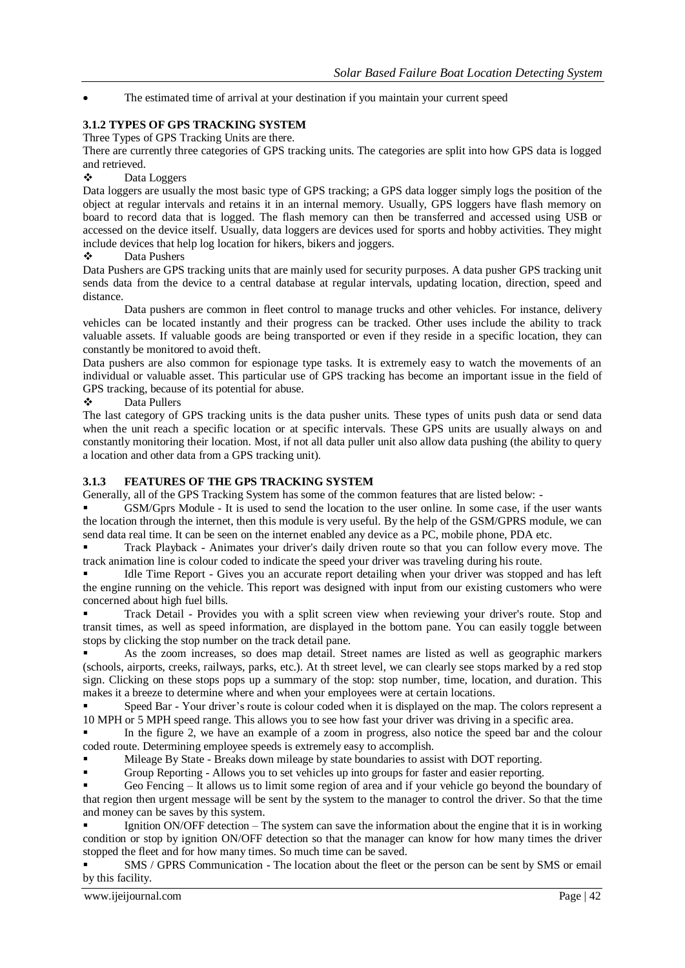The estimated time of arrival at your destination if you maintain your current speed

# **3.1.2 TYPES OF GPS TRACKING SYSTEM**

Three Types of GPS Tracking Units are there.

There are currently three categories of GPS tracking units. The categories are split into how GPS data is logged and retrieved.

# Data Loggers

Data loggers are usually the most basic type of GPS tracking; a GPS data logger simply logs the position of the object at regular intervals and retains it in an internal memory. Usually, GPS loggers have flash memory on board to record data that is logged. The flash memory can then be transferred and accessed using USB or accessed on the device itself. Usually, data loggers are devices used for sports and hobby activities. They might include devices that help log location for hikers, bikers and joggers.

# Data Pushers

Data Pushers are GPS tracking units that are mainly used for security purposes. A data pusher GPS tracking unit sends data from the device to a central database at regular intervals, updating location, direction, speed and distance.

Data pushers are common in fleet control to manage trucks and other vehicles. For instance, delivery vehicles can be located instantly and their progress can be tracked. Other uses include the ability to track valuable assets. If valuable goods are being transported or even if they reside in a specific location, they can constantly be monitored to avoid theft.

Data pushers are also common for espionage type tasks. It is extremely easy to watch the movements of an individual or valuable asset. This particular use of GPS tracking has become an important issue in the field of GPS tracking, because of its potential for abuse.

# Data Pullers

The last category of GPS tracking units is the data pusher units. These types of units push data or send data when the unit reach a specific location or at specific intervals. These GPS units are usually always on and constantly monitoring their location. Most, if not all data puller unit also allow data pushing (the ability to query a location and other data from a GPS tracking unit).

# **3.1.3 FEATURES OF THE GPS TRACKING SYSTEM**

Generally, all of the GPS Tracking System has some of the common features that are listed below: -

 GSM/Gprs Module - It is used to send the location to the user online. In some case, if the user wants the location through the internet, then this module is very useful. By the help of the GSM/GPRS module, we can send data real time. It can be seen on the internet enabled any device as a PC, mobile phone, PDA etc.

 Track Playback - Animates your driver's daily driven route so that you can follow every move. The track animation line is colour coded to indicate the speed your driver was traveling during his route.

 Idle Time Report - Gives you an accurate report detailing when your driver was stopped and has left the engine running on the vehicle. This report was designed with input from our existing customers who were concerned about high fuel bills.

 Track Detail - Provides you with a split screen view when reviewing your driver's route. Stop and transit times, as well as speed information, are displayed in the bottom pane. You can easily toggle between stops by clicking the stop number on the track detail pane.

 As the zoom increases, so does map detail. Street names are listed as well as geographic markers (schools, airports, creeks, railways, parks, etc.). At th street level, we can clearly see stops marked by a red stop sign. Clicking on these stops pops up a summary of the stop: stop number, time, location, and duration. This makes it a breeze to determine where and when your employees were at certain locations.

 Speed Bar - Your driver's route is colour coded when it is displayed on the map. The colors represent a 10 MPH or 5 MPH speed range. This allows you to see how fast your driver was driving in a specific area.

 In the figure 2, we have an example of a zoom in progress, also notice the speed bar and the colour coded route. Determining employee speeds is extremely easy to accomplish.

Mileage By State - Breaks down mileage by state boundaries to assist with DOT reporting.

Group Reporting - Allows you to set vehicles up into groups for faster and easier reporting.

 Geo Fencing – It allows us to limit some region of area and if your vehicle go beyond the boundary of that region then urgent message will be sent by the system to the manager to control the driver. So that the time and money can be saves by this system.

 Ignition ON/OFF detection – The system can save the information about the engine that it is in working condition or stop by ignition ON/OFF detection so that the manager can know for how many times the driver stopped the fleet and for how many times. So much time can be saved.

 SMS / GPRS Communication - The location about the fleet or the person can be sent by SMS or email by this facility.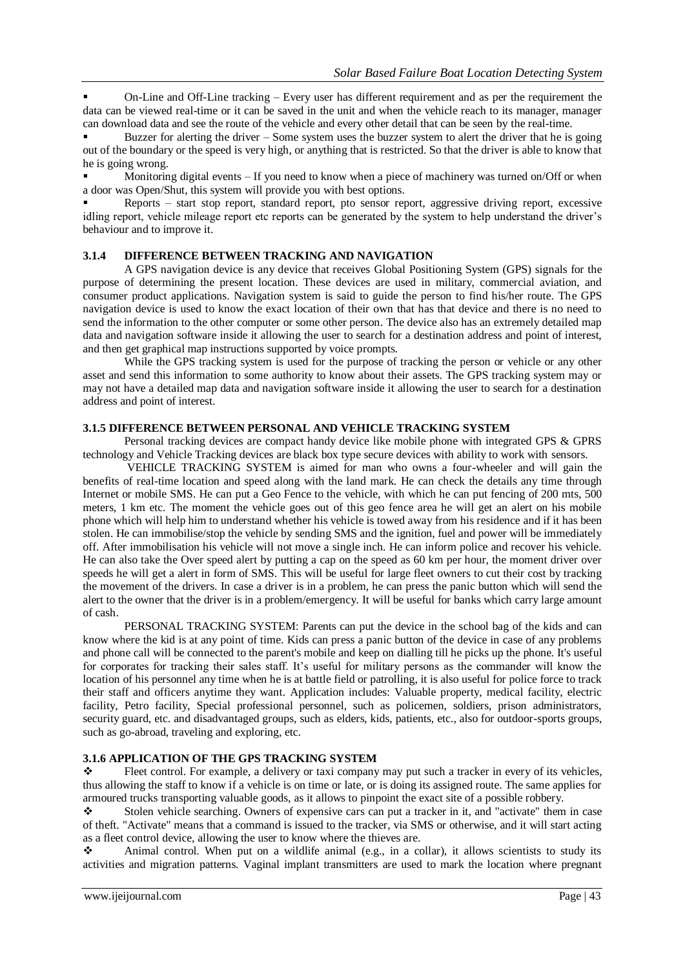On-Line and Off-Line tracking – Every user has different requirement and as per the requirement the data can be viewed real-time or it can be saved in the unit and when the vehicle reach to its manager, manager can download data and see the route of the vehicle and every other detail that can be seen by the real-time.

 Buzzer for alerting the driver – Some system uses the buzzer system to alert the driver that he is going out of the boundary or the speed is very high, or anything that is restricted. So that the driver is able to know that he is going wrong.

Monitoring digital events – If you need to know when a piece of machinery was turned on/Off or when a door was Open/Shut, this system will provide you with best options.

 Reports – start stop report, standard report, pto sensor report, aggressive driving report, excessive idling report, vehicle mileage report etc reports can be generated by the system to help understand the driver's behaviour and to improve it.

# **3.1.4 DIFFERENCE BETWEEN TRACKING AND NAVIGATION**

A GPS navigation device is any device that receives Global Positioning System (GPS) signals for the purpose of determining the present location. These devices are used in military, commercial aviation, and consumer product applications. Navigation system is said to guide the person to find his/her route. The GPS navigation device is used to know the exact location of their own that has that device and there is no need to send the information to the other computer or some other person. The device also has an extremely detailed map data and navigation software inside it allowing the user to search for a destination address and point of interest, and then get graphical map instructions supported by voice prompts.

While the GPS tracking system is used for the purpose of tracking the person or vehicle or any other asset and send this information to some authority to know about their assets. The GPS tracking system may or may not have a detailed map data and navigation software inside it allowing the user to search for a destination address and point of interest.

# **3.1.5 DIFFERENCE BETWEEN PERSONAL AND VEHICLE TRACKING SYSTEM**

Personal tracking devices are compact handy device like mobile phone with integrated GPS & GPRS technology and Vehicle Tracking devices are black box type secure devices with ability to work with sensors.

VEHICLE TRACKING SYSTEM is aimed for man who owns a four-wheeler and will gain the benefits of real-time location and speed along with the land mark. He can check the details any time through Internet or mobile SMS. He can put a Geo Fence to the vehicle, with which he can put fencing of 200 mts, 500 meters, 1 km etc. The moment the vehicle goes out of this geo fence area he will get an alert on his mobile phone which will help him to understand whether his vehicle is towed away from his residence and if it has been stolen. He can immobilise/stop the vehicle by sending SMS and the ignition, fuel and power will be immediately off. After immobilisation his vehicle will not move a single inch. He can inform police and recover his vehicle. He can also take the Over speed alert by putting a cap on the speed as 60 km per hour, the moment driver over speeds he will get a alert in form of SMS. This will be useful for large fleet owners to cut their cost by tracking the movement of the drivers. In case a driver is in a problem, he can press the panic button which will send the alert to the owner that the driver is in a problem/emergency. It will be useful for banks which carry large amount of cash.

PERSONAL TRACKING SYSTEM: Parents can put the device in the school bag of the kids and can know where the kid is at any point of time. Kids can press a panic button of the device in case of any problems and phone call will be connected to the parent's mobile and keep on dialling till he picks up the phone. It's useful for corporates for tracking their sales staff. It's useful for military persons as the commander will know the location of his personnel any time when he is at battle field or patrolling, it is also useful for police force to track their staff and officers anytime they want. Application includes: Valuable property, medical facility, electric facility, Petro facility, Special professional personnel, such as policemen, soldiers, prison administrators, security guard, etc. and disadvantaged groups, such as elders, kids, patients, etc., also for outdoor-sports groups, such as go-abroad, traveling and exploring, etc.

# **3.1.6 APPLICATION OF THE GPS TRACKING SYSTEM**

 Fleet control. For example, a delivery or taxi company may put such a tracker in every of its vehicles, thus allowing the staff to know if a vehicle is on time or late, or is doing its assigned route. The same applies for armoured trucks transporting valuable goods, as it allows to pinpoint the exact site of a possible robbery.

 Stolen vehicle searching. Owners of expensive cars can put a tracker in it, and "activate" them in case of theft. "Activate" means that a command is issued to the tracker, via SMS or otherwise, and it will start acting as a fleet control device, allowing the user to know where the thieves are.

Animal control. When put on a wildlife animal (e.g., in a collar), it allows scientists to study its activities and migration patterns. Vaginal implant transmitters are used to mark the location where pregnant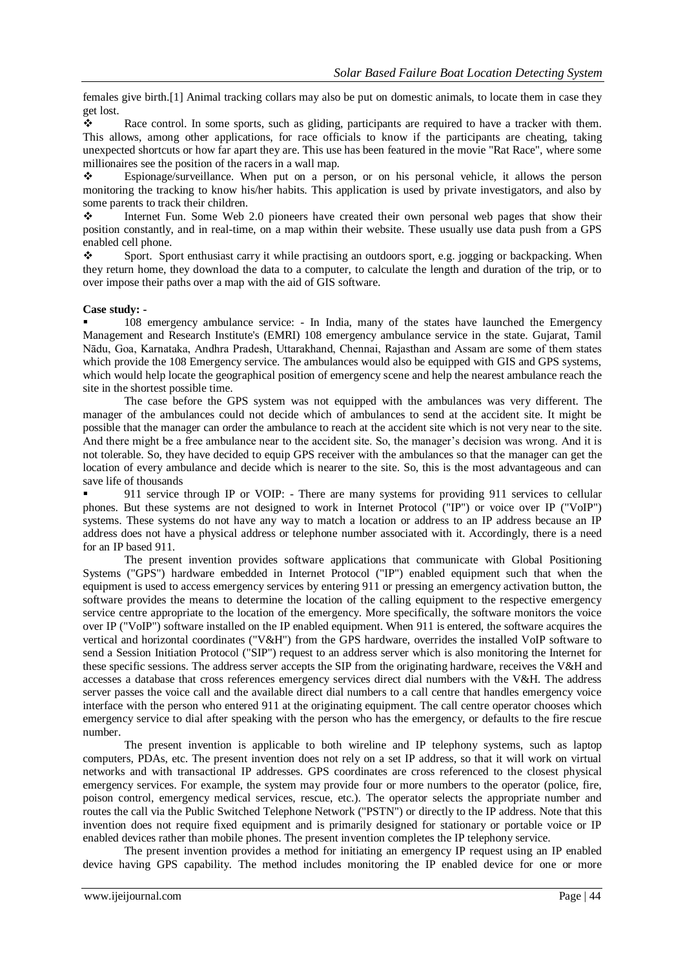females give birth.[1] Animal tracking collars may also be put on domestic animals, to locate them in case they get lost.

\* Race control. In some sports, such as gliding, participants are required to have a tracker with them. This allows, among other applications, for race officials to know if the participants are cheating, taking unexpected shortcuts or how far apart they are. This use has been featured in the movie "Rat Race", where some millionaires see the position of the racers in a wall map.

 Espionage/surveillance. When put on a person, or on his personal vehicle, it allows the person monitoring the tracking to know his/her habits. This application is used by private investigators, and also by some parents to track their children.

 Internet Fun. Some Web 2.0 pioneers have created their own personal web pages that show their position constantly, and in real-time, on a map within their website. These usually use data push from a GPS enabled cell phone.

 Sport. Sport enthusiast carry it while practising an outdoors sport, e.g. jogging or backpacking. When they return home, they download the data to a computer, to calculate the length and duration of the trip, or to over impose their paths over a map with the aid of GIS software.

#### **Case study: -**

 108 emergency ambulance service: - In India, many of the states have launched the Emergency Management and Research Institute's (EMRI) 108 emergency ambulance service in the state. Gujarat, Tamil Nādu, Goa, Karnataka, Andhra Pradesh, Uttarakhand, Chennai, Rajasthan and Assam are some of them states which provide the 108 Emergency service. The ambulances would also be equipped with GIS and GPS systems, which would help locate the geographical position of emergency scene and help the nearest ambulance reach the site in the shortest possible time.

The case before the GPS system was not equipped with the ambulances was very different. The manager of the ambulances could not decide which of ambulances to send at the accident site. It might be possible that the manager can order the ambulance to reach at the accident site which is not very near to the site. And there might be a free ambulance near to the accident site. So, the manager's decision was wrong. And it is not tolerable. So, they have decided to equip GPS receiver with the ambulances so that the manager can get the location of every ambulance and decide which is nearer to the site. So, this is the most advantageous and can save life of thousands

 911 service through IP or VOIP: - There are many systems for providing 911 services to cellular phones. But these systems are not designed to work in Internet Protocol ("IP") or voice over IP ("VoIP") systems. These systems do not have any way to match a location or address to an IP address because an IP address does not have a physical address or telephone number associated with it. Accordingly, there is a need for an IP based 911.

The present invention provides software applications that communicate with Global Positioning Systems ("GPS") hardware embedded in Internet Protocol ("IP") enabled equipment such that when the equipment is used to access emergency services by entering 911 or pressing an emergency activation button, the software provides the means to determine the location of the calling equipment to the respective emergency service centre appropriate to the location of the emergency. More specifically, the software monitors the voice over IP ("VoIP") software installed on the IP enabled equipment. When 911 is entered, the software acquires the vertical and horizontal coordinates ("V&H") from the GPS hardware, overrides the installed VoIP software to send a Session Initiation Protocol ("SIP") request to an address server which is also monitoring the Internet for these specific sessions. The address server accepts the SIP from the originating hardware, receives the V&H and accesses a database that cross references emergency services direct dial numbers with the V&H. The address server passes the voice call and the available direct dial numbers to a call centre that handles emergency voice interface with the person who entered 911 at the originating equipment. The call centre operator chooses which emergency service to dial after speaking with the person who has the emergency, or defaults to the fire rescue number.

The present invention is applicable to both wireline and IP telephony systems, such as laptop computers, PDAs, etc. The present invention does not rely on a set IP address, so that it will work on virtual networks and with transactional IP addresses. GPS coordinates are cross referenced to the closest physical emergency services. For example, the system may provide four or more numbers to the operator (police, fire, poison control, emergency medical services, rescue, etc.). The operator selects the appropriate number and routes the call via the Public Switched Telephone Network ("PSTN") or directly to the IP address. Note that this invention does not require fixed equipment and is primarily designed for stationary or portable voice or IP enabled devices rather than mobile phones. The present invention completes the IP telephony service.

The present invention provides a method for initiating an emergency IP request using an IP enabled device having GPS capability. The method includes monitoring the IP enabled device for one or more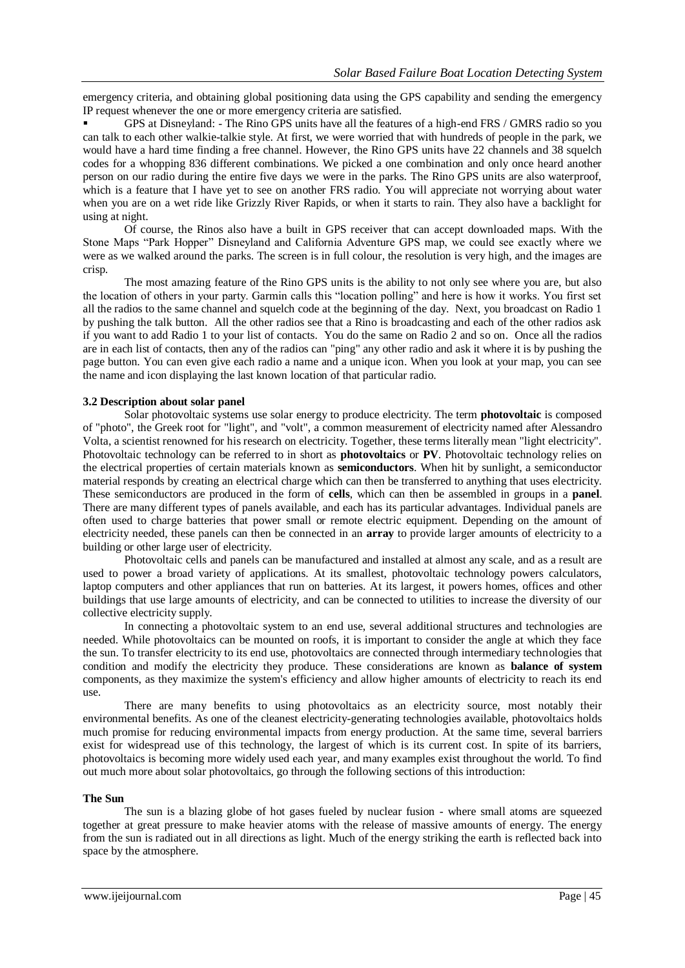emergency criteria, and obtaining global positioning data using the GPS capability and sending the emergency IP request whenever the one or more emergency criteria are satisfied.

 GPS at Disneyland: - The Rino GPS units have all the features of a high-end FRS / GMRS radio so you can talk to each other walkie-talkie style. At first, we were worried that with hundreds of people in the park, we would have a hard time finding a free channel. However, the Rino GPS units have 22 channels and 38 squelch codes for a whopping 836 different combinations. We picked a one combination and only once heard another person on our radio during the entire five days we were in the parks. The Rino GPS units are also waterproof, which is a feature that I have yet to see on another FRS radio. You will appreciate not worrying about water when you are on a wet ride like Grizzly River Rapids, or when it starts to rain. They also have a backlight for using at night.

Of course, the Rinos also have a built in GPS receiver that can accept downloaded maps. With the Stone Maps "Park Hopper" Disneyland and California Adventure GPS map, we could see exactly where we were as we walked around the parks. The screen is in full colour, the resolution is very high, and the images are crisp.

The most amazing feature of the Rino GPS units is the ability to not only see where you are, but also the location of others in your party. Garmin calls this "location polling" and here is how it works. You first set all the radios to the same channel and squelch code at the beginning of the day. Next, you broadcast on Radio 1 by pushing the talk button. All the other radios see that a Rino is broadcasting and each of the other radios ask if you want to add Radio 1 to your list of contacts. You do the same on Radio 2 and so on. Once all the radios are in each list of contacts, then any of the radios can "ping" any other radio and ask it where it is by pushing the page button. You can even give each radio a name and a unique icon. When you look at your map, you can see the name and icon displaying the last known location of that particular radio.

# **3.2 Description about solar panel**

Solar photovoltaic systems use solar energy to produce electricity. The term **photovoltaic** is composed of "photo", the Greek root for "light", and "volt", a common measurement of electricity named after Alessandro Volta, a scientist renowned for his research on electricity. Together, these terms literally mean "light electricity". Photovoltaic technology can be referred to in short as **photovoltaics** or **PV**. Photovoltaic technology relies on the electrical properties of certain materials known as **semiconductors**. When hit by sunlight, a semiconductor material responds by creating an electrical charge which can then be transferred to anything that uses electricity. These semiconductors are produced in the form of **cells**, which can then be assembled in groups in a **panel**. There are many different types of panels available, and each has its particular advantages. Individual panels are often used to charge batteries that power small or remote electric equipment. Depending on the amount of electricity needed, these panels can then be connected in an **array** to provide larger amounts of electricity to a building or other large user of electricity.

Photovoltaic cells and panels can be manufactured and installed at almost any scale, and as a result are used to power a broad variety of applications. At its smallest, photovoltaic technology powers calculators, laptop computers and other appliances that run on batteries. At its largest, it powers homes, offices and other buildings that use large amounts of electricity, and can be connected to utilities to increase the diversity of our collective electricity supply.

In connecting a photovoltaic system to an end use, several additional structures and technologies are needed. While photovoltaics can be mounted on roofs, it is important to consider the angle at which they face the sun. To transfer electricity to its end use, photovoltaics are connected through intermediary technologies that condition and modify the electricity they produce. These considerations are known as **balance of system** components, as they maximize the system's efficiency and allow higher amounts of electricity to reach its end use.

There are many benefits to using photovoltaics as an electricity source, most notably their environmental benefits. As one of the cleanest electricity-generating technologies available, photovoltaics holds much promise for reducing environmental impacts from energy production. At the same time, several barriers exist for widespread use of this technology, the largest of which is its current cost. In spite of its barriers, photovoltaics is becoming more widely used each year, and many examples exist throughout the world. To find out much more about solar photovoltaics, go through the following sections of this introduction:

# **The Sun**

The sun is a blazing globe of hot gases fueled by nuclear fusion - where small atoms are squeezed together at great pressure to make heavier atoms with the release of massive amounts of energy. The energy from the sun is radiated out in all directions as light. Much of the energy striking the earth is reflected back into space by the atmosphere.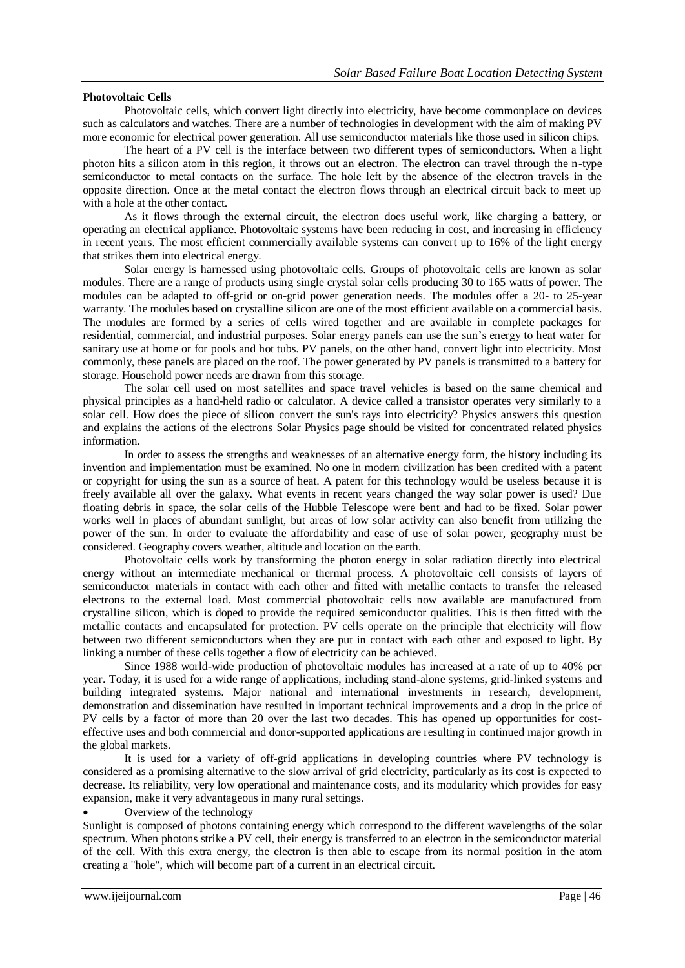#### **Photovoltaic Cells**

Photovoltaic cells, which convert light directly into electricity, have become commonplace on devices such as calculators and watches. There are a number of technologies in development with the aim of making PV more economic for electrical power generation. All use semiconductor materials like those used in silicon chips.

The heart of a PV cell is the interface between two different types of semiconductors. When a light photon hits a silicon atom in this region, it throws out an electron. The electron can travel through the n-type semiconductor to metal contacts on the surface. The hole left by the absence of the electron travels in the opposite direction. Once at the metal contact the electron flows through an electrical circuit back to meet up with a hole at the other contact.

As it flows through the external circuit, the electron does useful work, like charging a battery, or operating an electrical appliance. Photovoltaic systems have been reducing in cost, and increasing in efficiency in recent years. The most efficient commercially available systems can convert up to 16% of the light energy that strikes them into electrical energy.

Solar energy is harnessed using photovoltaic cells. Groups of photovoltaic cells are known as solar modules. There are a range of products using single crystal solar cells producing 30 to 165 watts of power. The modules can be adapted to off-grid or on-grid power generation needs. The modules offer a 20- to 25-year warranty. The modules based on crystalline silicon are one of the most efficient available on a commercial basis. The modules are formed by a series of cells wired together and are available in complete packages for residential, commercial, and industrial purposes. Solar energy panels can use the sun's energy to heat water for sanitary use at home or for pools and hot tubs. PV panels, on the other hand, convert light into electricity. Most commonly, these panels are placed on the roof. The power generated by PV panels is transmitted to a battery for storage. Household power needs are drawn from this storage.

The solar cell used on most satellites and space travel vehicles is based on the same chemical and physical principles as a hand-held radio or calculator. A device called a transistor operates very similarly to a solar cell. How does the piece of silicon convert the sun's rays into electricity? Physics answers this question and explains the actions of the electrons [Solar Physics](http://library.thinkquest.org/17658/sol/solphysicsht.html) page should be visited for concentrated related physics information.

In order to assess the strengths and weaknesses of an alternative energy form, the history including its invention and implementation must be examined. No one in modern civilization has been credited with a patent or copyright for using the sun as a source of heat. A patent for this technology would be useless because it is freely available all over the galaxy. What events in recent years changed the way solar power is used? Due floating debris in space, the solar cells of the Hubble Telescope were bent and had to be fixed. Solar power works well in places of abundant sunlight, but areas of low solar activity can also benefit from utilizing the power of the sun. In order to evaluate the affordability and ease of use of solar power, geography must be considered. Geography covers weather, altitude and location on the earth.

Photovoltaic cells work by transforming the photon energy in solar radiation directly into electrical energy without an intermediate mechanical or thermal process. A photovoltaic cell consists of layers of semiconductor materials in contact with each other and fitted with metallic contacts to transfer the released electrons to the external load. Most commercial photovoltaic cells now available are manufactured from crystalline silicon, which is doped to provide the required semiconductor qualities. This is then fitted with the metallic contacts and encapsulated for protection. PV cells operate on the principle that electricity will flow between two different semiconductors when they are put in contact with each other and exposed to light. By linking a number of these cells together a flow of electricity can be achieved.

Since 1988 world-wide production of photovoltaic modules has increased at a rate of up to 40% per year. Today, it is used for a wide range of applications, including stand-alone systems, grid-linked systems and building integrated systems. Major national and international investments in research, development, demonstration and dissemination have resulted in important technical improvements and a drop in the price of PV cells by a factor of more than 20 over the last two decades. This has opened up opportunities for costeffective uses and both commercial and donor-supported applications are resulting in continued major growth in the global markets.

It is used for a variety of off-grid applications in developing countries where PV technology is considered as a promising alternative to the slow arrival of grid electricity, particularly as its cost is expected to decrease. Its reliability, very low operational and maintenance costs, and its modularity which provides for easy expansion, make it very advantageous in many rural settings.

Overview of the technology

Sunlight is composed of photons containing energy which correspond to the different wavelengths of the solar spectrum. When photons strike a PV cell, their energy is transferred to an electron in the semiconductor material of the cell. With this extra energy, the electron is then able to escape from its normal position in the atom creating a "hole", which will become part of a current in an electrical circuit.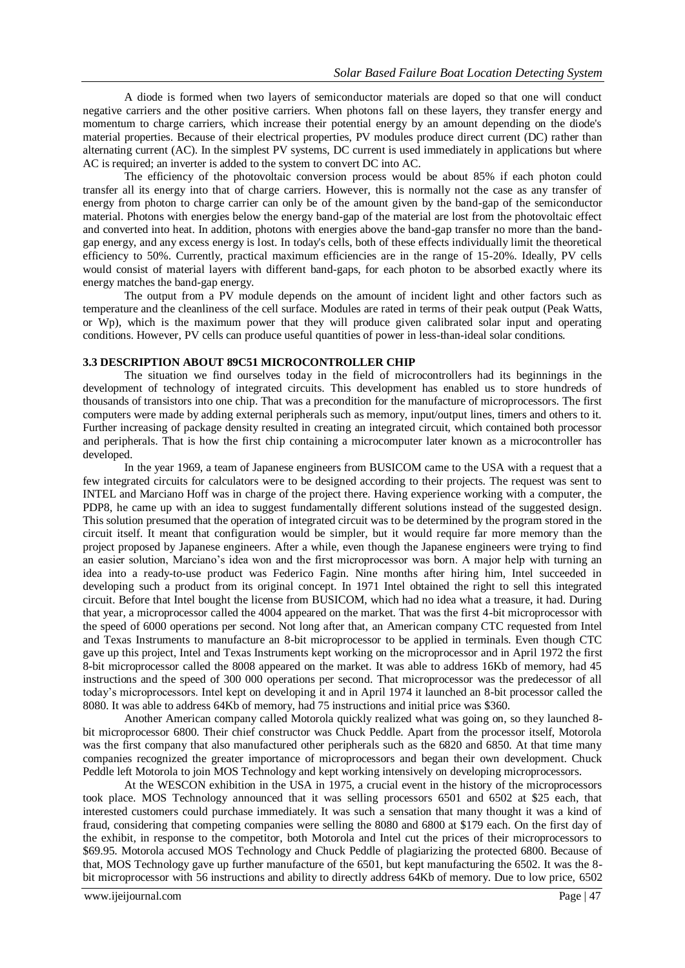A diode is formed when two layers of semiconductor materials are doped so that one will conduct negative carriers and the other positive carriers. When photons fall on these layers, they transfer energy and momentum to charge carriers, which increase their potential energy by an amount depending on the diode's material properties. Because of their electrical properties, PV modules produce direct current (DC) rather than alternating current (AC). In the simplest PV systems, DC current is used immediately in applications but where AC is required; an inverter is added to the system to convert DC into AC.

The efficiency of the photovoltaic conversion process would be about 85% if each photon could transfer all its energy into that of charge carriers. However, this is normally not the case as any transfer of energy from photon to charge carrier can only be of the amount given by the band-gap of the semiconductor material. Photons with energies below the energy band-gap of the material are lost from the photovoltaic effect and converted into heat. In addition, photons with energies above the band-gap transfer no more than the bandgap energy, and any excess energy is lost. In today's cells, both of these effects individually limit the theoretical efficiency to 50%. Currently, practical maximum efficiencies are in the range of 15-20%. Ideally, PV cells would consist of material layers with different band-gaps, for each photon to be absorbed exactly where its energy matches the band-gap energy.

The output from a PV module depends on the amount of incident light and other factors such as temperature and the cleanliness of the cell surface. Modules are rated in terms of their peak output (Peak Watts, or Wp), which is the maximum power that they will produce given calibrated solar input and operating conditions. However, PV cells can produce useful quantities of power in less-than-ideal solar conditions.

# **3.3 DESCRIPTION ABOUT 89C51 MICROCONTROLLER CHIP**

The situation we find ourselves today in the field of microcontrollers had its beginnings in the development of technology of integrated circuits. This development has enabled us to store hundreds of thousands of transistors into one chip. That was a precondition for the manufacture of microprocessors. The first computers were made by adding external peripherals such as memory, input/output lines, timers and others to it. Further increasing of package density resulted in creating an integrated circuit, which contained both processor and peripherals. That is how the first chip containing a microcomputer later known as a microcontroller has developed.

In the year 1969, a team of Japanese engineers from BUSICOM came to the USA with a request that a few integrated circuits for calculators were to be designed according to their projects. The request was sent to INTEL and Marciano Hoff was in charge of the project there. Having experience working with a computer, the PDP8, he came up with an idea to suggest fundamentally different solutions instead of the suggested design. This solution presumed that the operation of integrated circuit was to be determined by the program stored in the circuit itself. It meant that configuration would be simpler, but it would require far more memory than the project proposed by Japanese engineers. After a while, even though the Japanese engineers were trying to find an easier solution, Marciano's idea won and the first microprocessor was born. A major help with turning an idea into a ready-to-use product was Federico Fagin. Nine months after hiring him, Intel succeeded in developing such a product from its original concept. In 1971 Intel obtained the right to sell this integrated circuit. Before that Intel bought the license from BUSICOM, which had no idea what a treasure, it had. During that year, a microprocessor called the 4004 appeared on the market. That was the first 4-bit microprocessor with the speed of 6000 operations per second. Not long after that, an American company CTC requested from Intel and Texas Instruments to manufacture an 8-bit microprocessor to be applied in terminals. Even though CTC gave up this project, Intel and Texas Instruments kept working on the microprocessor and in April 1972 the first 8-bit microprocessor called the 8008 appeared on the market. It was able to address 16Kb of memory, had 45 instructions and the speed of 300 000 operations per second. That microprocessor was the predecessor of all today's microprocessors. Intel kept on developing it and in April 1974 it launched an 8-bit processor called the 8080. It was able to address 64Kb of memory, had 75 instructions and initial price was \$360.

Another American company called Motorola quickly realized what was going on, so they launched 8 bit microprocessor 6800. Their chief constructor was Chuck Peddle. Apart from the processor itself, Motorola was the first company that also manufactured other peripherals such as the 6820 and 6850. At that time many companies recognized the greater importance of microprocessors and began their own development. Chuck Peddle left Motorola to join MOS Technology and kept working intensively on developing microprocessors.

At the WESCON exhibition in the USA in 1975, a crucial event in the history of the microprocessors took place. MOS Technology announced that it was selling processors 6501 and 6502 at \$25 each, that interested customers could purchase immediately. It was such a sensation that many thought it was a kind of fraud, considering that competing companies were selling the 8080 and 6800 at \$179 each. On the first day of the exhibit, in response to the competitor, both Motorola and Intel cut the prices of their microprocessors to \$69.95. Motorola accused MOS Technology and Chuck Peddle of plagiarizing the protected 6800. Because of that, MOS Technology gave up further manufacture of the 6501, but kept manufacturing the 6502. It was the 8 bit microprocessor with 56 instructions and ability to directly address 64Kb of memory. Due to low price, 6502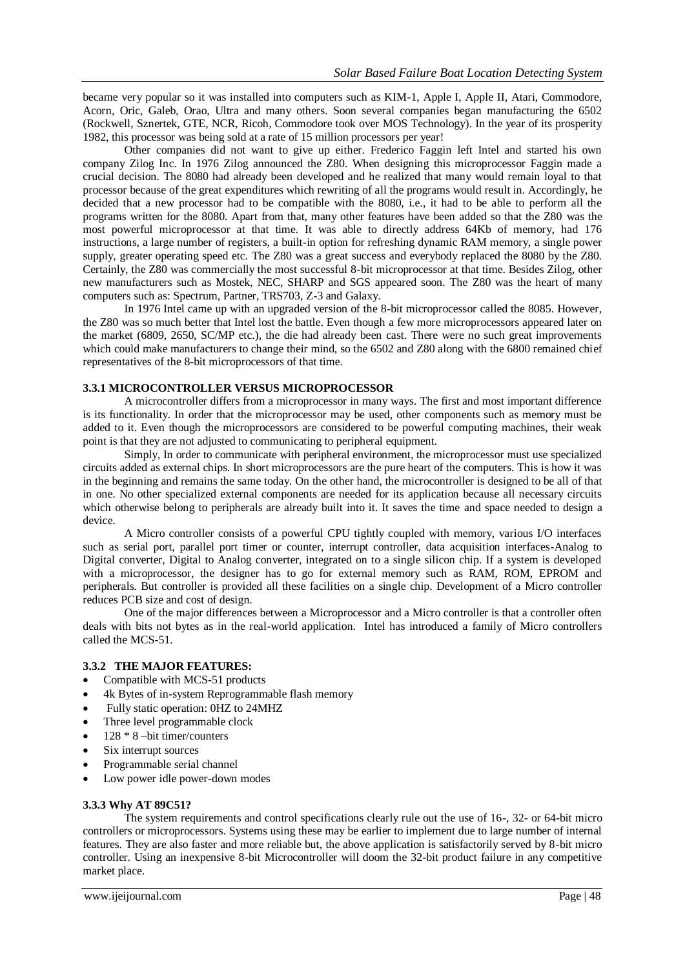became very popular so it was installed into computers such as KIM-1, Apple I, Apple II, Atari, Commodore, Acorn, Oric, Galeb, Orao, Ultra and many others. Soon several companies began manufacturing the 6502 (Rockwell, Sznertek, GTE, NCR, Ricoh, Commodore took over MOS Technology). In the year of its prosperity 1982, this processor was being sold at a rate of 15 million processors per year!

Other companies did not want to give up either. Frederico Faggin left Intel and started his own company Zilog Inc. In 1976 Zilog announced the Z80. When designing this microprocessor Faggin made a crucial decision. The 8080 had already been developed and he realized that many would remain loyal to that processor because of the great expenditures which rewriting of all the programs would result in. Accordingly, he decided that a new processor had to be compatible with the 8080, i.e., it had to be able to perform all the programs written for the 8080. Apart from that, many other features have been added so that the Z80 was the most powerful microprocessor at that time. It was able to directly address 64Kb of memory, had 176 instructions, a large number of registers, a built-in option for refreshing dynamic RAM memory, a single power supply, greater operating speed etc. The Z80 was a great success and everybody replaced the 8080 by the Z80. Certainly, the Z80 was commercially the most successful 8-bit microprocessor at that time. Besides Zilog, other new manufacturers such as Mostek, NEC, SHARP and SGS appeared soon. The Z80 was the heart of many computers such as: Spectrum, Partner, TRS703, Z-3 and Galaxy.

In 1976 Intel came up with an upgraded version of the 8-bit microprocessor called the 8085. However, the Z80 was so much better that Intel lost the battle. Even though a few more microprocessors appeared later on the market (6809, 2650, SC/MP etc.), the die had already been cast. There were no such great improvements which could make manufacturers to change their mind, so the 6502 and Z80 along with the 6800 remained chief representatives of the 8-bit microprocessors of that time.

#### **3.3.1 MICROCONTROLLER VERSUS MICROPROCESSOR**

A microcontroller differs from a microprocessor in many ways. The first and most important difference is its functionality. In order that the microprocessor may be used, other components such as memory must be added to it. Even though the microprocessors are considered to be powerful computing machines, their weak point is that they are not adjusted to communicating to peripheral equipment.

Simply, In order to communicate with peripheral environment, the microprocessor must use specialized circuits added as external chips. In short microprocessors are the pure heart of the computers. This is how it was in the beginning and remains the same today. On the other hand, the microcontroller is designed to be all of that in one. No other specialized external components are needed for its application because all necessary circuits which otherwise belong to peripherals are already built into it. It saves the time and space needed to design a device.

A Micro controller consists of a powerful CPU tightly coupled with memory, various I/O interfaces such as serial port, parallel port timer or counter, interrupt controller, data acquisition interfaces-Analog to Digital converter, Digital to Analog converter, integrated on to a single silicon chip. If a system is developed with a microprocessor, the designer has to go for external memory such as RAM, ROM, EPROM and peripherals. But controller is provided all these facilities on a single chip. Development of a Micro controller reduces PCB size and cost of design.

One of the major differences between a Microprocessor and a Micro controller is that a controller often deals with bits not bytes as in the real-world application. Intel has introduced a family of Micro controllers called the MCS-51.

# **3.3.2 THE MAJOR FEATURES:**

- Compatible with MCS-51 products
- 4k Bytes of in-system Reprogrammable flash memory
- Fully static operation: 0HZ to 24MHZ
- Three level programmable clock
- 128 \* 8 –bit timer/counters
- Six interrupt sources
- Programmable serial channel
- Low power idle power-down modes

#### **3.3.3 Why AT 89C51?**

The system requirements and control specifications clearly rule out the use of 16-, 32- or 64-bit micro controllers or microprocessors. Systems using these may be earlier to implement due to large number of internal features. They are also faster and more reliable but, the above application is satisfactorily served by 8-bit micro controller. Using an inexpensive 8-bit Microcontroller will doom the 32-bit product failure in any competitive market place.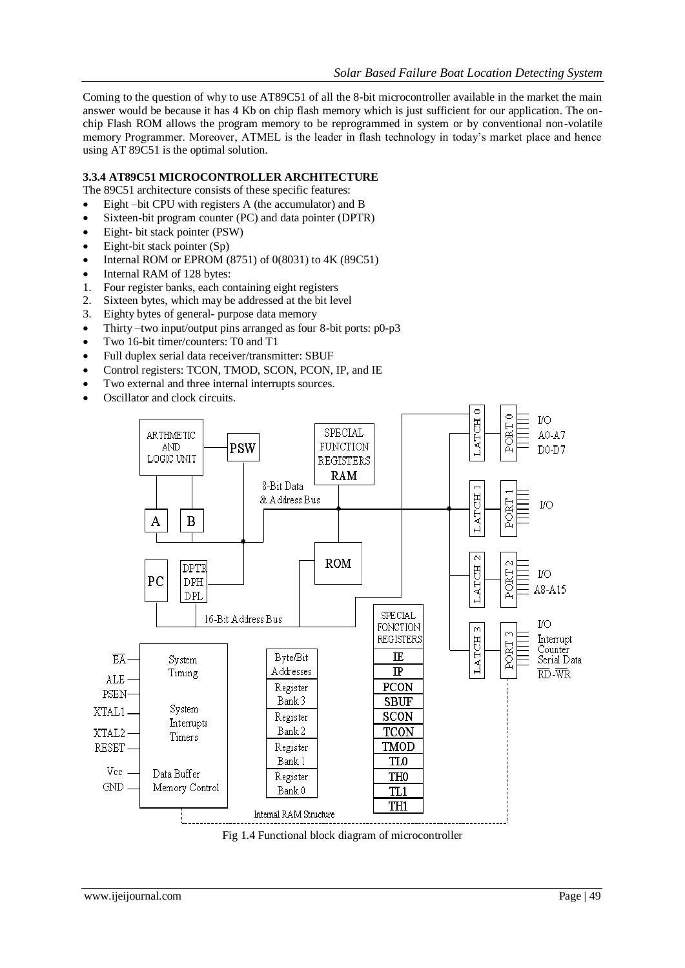Coming to the question of why to use AT89C51 of all the 8-bit microcontroller available in the market the main answer would be because it has 4 Kb on chip flash memory which is just sufficient for our application. The onchip Flash ROM allows the program memory to be reprogrammed in system or by conventional non-volatile memory Programmer. Moreover, ATMEL is the leader in flash technology in today's market place and hence using AT 89C51 is the optimal solution.

# **3.3.4 AT89C51 MICROCONTROLLER ARCHITECTURE**

The 89C51 architecture consists of these specific features:

- Eight –bit CPU with registers A (the accumulator) and B
- Sixteen-bit program counter (PC) and data pointer (DPTR)
- Eight- bit stack pointer (PSW)
- Eight-bit stack pointer (Sp)
- Internal ROM or EPROM (8751) of 0(8031) to 4K (89C51)
- Internal RAM of 128 bytes:
- 1. Four register banks, each containing eight registers
- 2. Sixteen bytes, which may be addressed at the bit level
- 3. Eighty bytes of general- purpose data memory
- Thirty –two input/output pins arranged as four 8-bit ports: p0-p3
- Two 16-bit timer/counters: T0 and T1
- Full duplex serial data receiver/transmitter: SBUF
- Control registers: TCON, TMOD, SCON, PCON, IP, and IE
- Two external and three internal interrupts sources.
- Oscillator and clock circuits.



Fig 1.4 Functional block diagram of microcontroller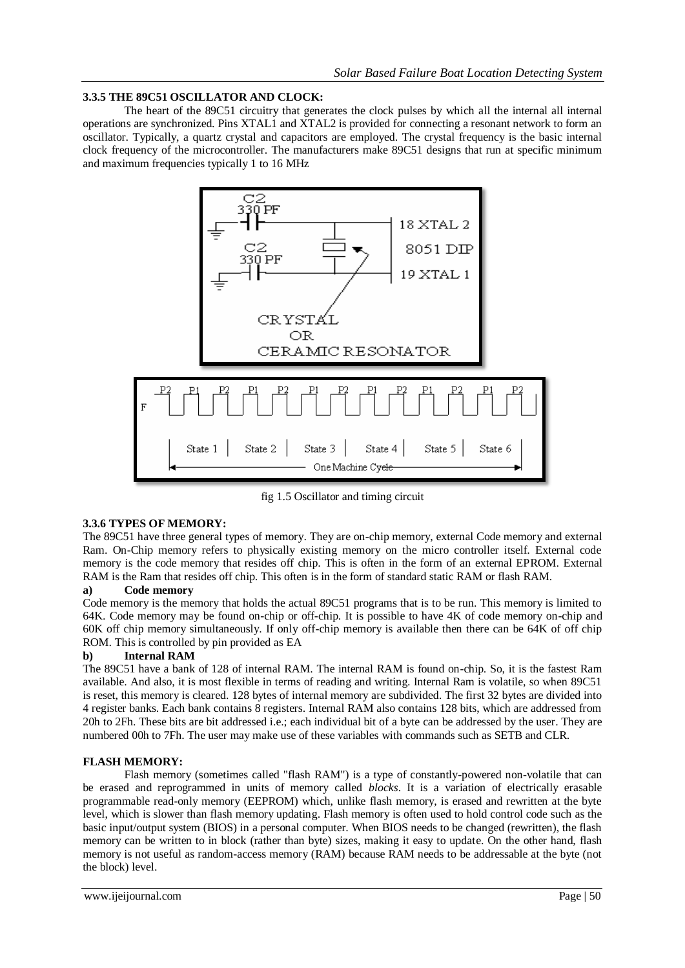# **3.3.5 THE 89C51 OSCILLATOR AND CLOCK:**

The heart of the 89C51 circuitry that generates the clock pulses by which all the internal all internal operations are synchronized. Pins XTAL1 and XTAL2 is provided for connecting a resonant network to form an oscillator. Typically, a quartz crystal and capacitors are employed. The crystal frequency is the basic internal clock frequency of the microcontroller. The manufacturers make 89C51 designs that run at specific minimum and maximum frequencies typically 1 to 16 MHz



fig 1.5 Oscillator and timing circuit

# **3.3.6 TYPES OF MEMORY:**

The 89C51 have three general types of memory. They are on-chip memory, external Code memory and external Ram. On-Chip memory refers to physically existing memory on the micro controller itself. External code memory is the code memory that resides off chip. This is often in the form of an external EPROM. External RAM is the Ram that resides off chip. This often is in the form of standard static RAM or flash RAM.

# **a) Code memory**

Code memory is the memory that holds the actual 89C51 programs that is to be run. This memory is limited to 64K. Code memory may be found on-chip or off-chip. It is possible to have 4K of code memory on-chip and 60K off chip memory simultaneously. If only off-chip memory is available then there can be 64K of off chip ROM. This is controlled by pin provided as EA

# **b) Internal RAM**

The 89C51 have a bank of 128 of internal RAM. The internal RAM is found on-chip. So, it is the fastest Ram available. And also, it is most flexible in terms of reading and writing. Internal Ram is volatile, so when 89C51 is reset, this memory is cleared. 128 bytes of internal memory are subdivided. The first 32 bytes are divided into 4 register banks. Each bank contains 8 registers. Internal RAM also contains 128 bits, which are addressed from 20h to 2Fh. These bits are bit addressed i.e.; each individual bit of a byte can be addressed by the user. They are numbered 00h to 7Fh. The user may make use of these variables with commands such as SETB and CLR.

# **FLASH MEMORY:**

Flash memory (sometimes called "flash RAM") is a type of constantly-powered non-volatile that can be erased and reprogrammed in units of memory called *blocks*. It is a variation of electrically erasable programmable read-only memory (EEPROM) which, unlike flash memory, is erased and rewritten at the byte level, which is slower than flash memory updating. Flash memory is often used to hold control code such as the basic input/output system (BIOS) in a personal computer. When BIOS needs to be changed (rewritten), the flash memory can be written to in block (rather than byte) sizes, making it easy to update. On the other hand, flash memory is not useful as random-access memory (RAM) because RAM needs to be addressable at the byte (not the block) level.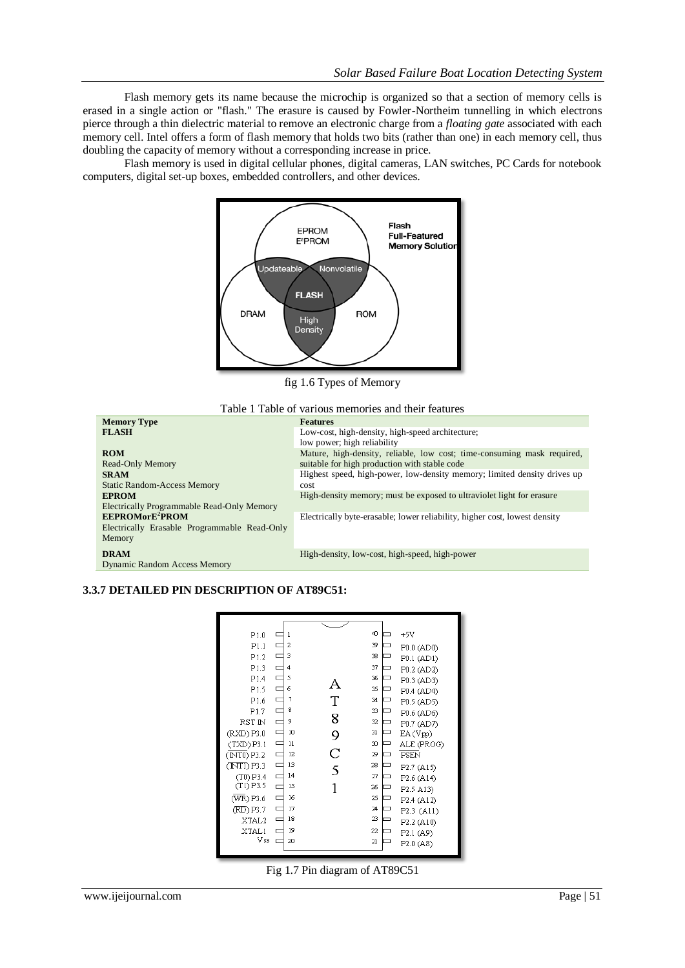Flash memory gets its name because the microchip is organized so that a section of memory cells is erased in a single action or "flash." The erasure is caused by Fowler-Northeim tunnelling in which electrons pierce through a thin dielectric material to remove an electronic charge from a *floating gate* associated with each memory cell. Intel offers a form of flash memory that holds two bits (rather than one) in each memory cell, thus doubling the capacity of memory without a corresponding increase in price.

Flash memory is used in digital cellular phones, digital cameras, LAN switches, PC Cards for notebook computers, digital set-up boxes, embedded controllers, and other devices.



fig 1.6 Types of Memory



| <b>Memory Type</b>                           | <b>Features</b>                                                            |
|----------------------------------------------|----------------------------------------------------------------------------|
| <b>FLASH</b>                                 | Low-cost, high-density, high-speed architecture;                           |
|                                              | low power; high reliability                                                |
| <b>ROM</b>                                   | Mature, high-density, reliable, low cost; time-consuming mask required,    |
| <b>Read-Only Memory</b>                      | suitable for high production with stable code                              |
| <b>SRAM</b>                                  | Highest speed, high-power, low-density memory; limited density drives up   |
| <b>Static Random-Access Memory</b>           | cost.                                                                      |
| <b>EPROM</b>                                 | High-density memory; must be exposed to ultraviolet light for erasure      |
| Electrically Programmable Read-Only Memory   |                                                                            |
| EEPROMorE <sup>2</sup> PROM                  | Electrically byte-erasable; lower reliability, higher cost, lowest density |
| Electrically Erasable Programmable Read-Only |                                                                            |
| Memory                                       |                                                                            |
|                                              |                                                                            |
| <b>DRAM</b>                                  | High-density, low-cost, high-speed, high-power                             |
| <b>Dynamic Random Access Memory</b>          |                                                                            |

# **3.3.7 DETAILED PIN DESCRIPTION OF AT89C51:**

| 15<br>26<br>P <sub>2.5</sub> A <sub>13</sub> )<br>16<br>(WR) P3.6<br>25<br>P <sub>2.4</sub> (A <sub>12</sub> )<br>17<br>24<br>(RD) P3.7<br>P2.3 (A11)<br>23<br>18<br>XTAL <sub>2</sub><br>P <sub>2.2</sub> (A <sub>10</sub> )<br>19<br>22<br>XTAL1<br>P <sub>2.1</sub> (A <sub>9</sub> )<br>V ss<br>20<br>21<br>P <sub>2.0</sub> (A <sub>8</sub> ) | P1.0<br>P1.1<br>P1.2<br>P1.3<br>P1.4<br>P1.5<br>P1.6<br>P <sub>1.7</sub><br>RST IN<br>(RXD) P3.0<br>(TXD) P3.1<br>$\equiv$<br>$(\overline{\mathrm{INT0}})$ P3.2<br>(INTI) P3.3<br>(T0) P3.4<br>$(T1)$ P3.5 | ı<br>$\overline{a}$<br>В<br>4<br>5<br>6<br>7<br>8<br>9<br>10<br>$\overline{11}$<br>12<br>13<br>14 | A<br>Τ<br>8<br>9<br>С<br>5 | 40<br>39<br>38<br>37<br>36<br>35<br>34<br>33<br>32<br>31<br>30<br>29<br>28<br>27 | $+5V$<br>P0.0 (AD0)<br>P0.1 (AD1)<br>P0.2 (AD2)<br>P0.3 (AD3)<br>P0.4 (AD4)<br>P0.5 (AD5)<br>P0.6 (AD6)<br>P0.7 (AD7)<br>EA (Vpp)<br>ALE (PROG)<br><b>PSEN</b><br>P <sub>2.7</sub> (A <sub>15</sub> )<br>P <sub>2.6</sub> (A <sub>14</sub> ) |
|----------------------------------------------------------------------------------------------------------------------------------------------------------------------------------------------------------------------------------------------------------------------------------------------------------------------------------------------------|------------------------------------------------------------------------------------------------------------------------------------------------------------------------------------------------------------|---------------------------------------------------------------------------------------------------|----------------------------|----------------------------------------------------------------------------------|----------------------------------------------------------------------------------------------------------------------------------------------------------------------------------------------------------------------------------------------|
|----------------------------------------------------------------------------------------------------------------------------------------------------------------------------------------------------------------------------------------------------------------------------------------------------------------------------------------------------|------------------------------------------------------------------------------------------------------------------------------------------------------------------------------------------------------------|---------------------------------------------------------------------------------------------------|----------------------------|----------------------------------------------------------------------------------|----------------------------------------------------------------------------------------------------------------------------------------------------------------------------------------------------------------------------------------------|

Fig 1.7 Pin diagram of AT89C51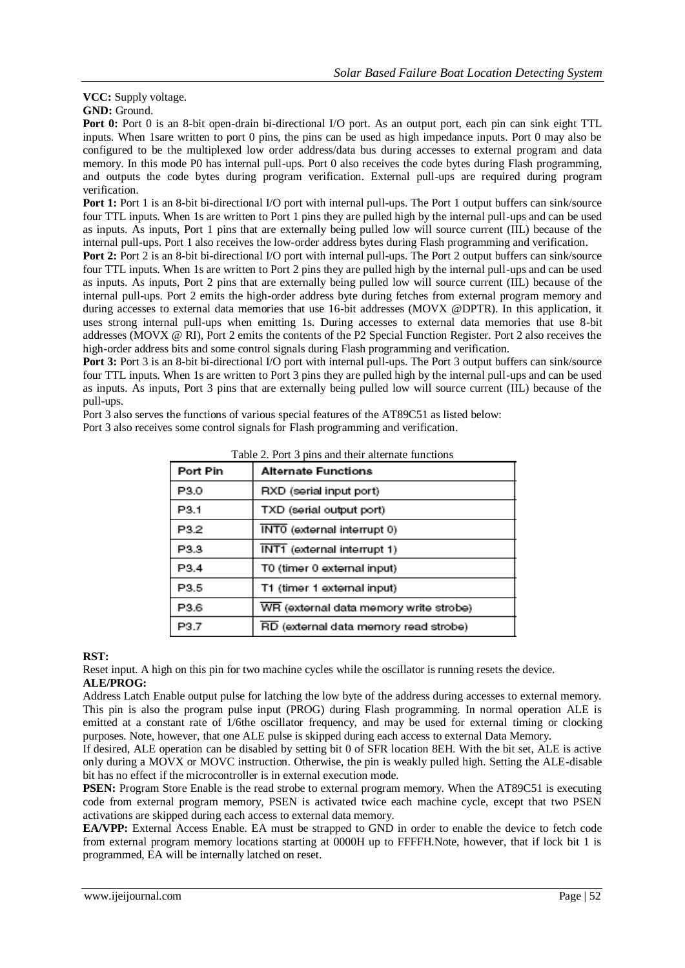**VCC:** Supply voltage.

# **GND:** Ground.

**Port 0:** Port 0 is an 8-bit open-drain bi-directional I/O port. As an output port, each pin can sink eight TTL inputs. When 1sare written to port 0 pins, the pins can be used as high impedance inputs. Port 0 may also be configured to be the multiplexed low order address/data bus during accesses to external program and data memory. In this mode P0 has internal pull-ups. Port 0 also receives the code bytes during Flash programming, and outputs the code bytes during program verification. External pull-ups are required during program verification.

**Port 1:** Port 1 is an 8-bit bi-directional I/O port with internal pull-ups. The Port 1 output buffers can sink/source four TTL inputs. When 1s are written to Port 1 pins they are pulled high by the internal pull-ups and can be used as inputs. As inputs, Port 1 pins that are externally being pulled low will source current (IIL) because of the internal pull-ups. Port 1 also receives the low-order address bytes during Flash programming and verification.

**Port 2:** Port 2 is an 8-bit bi-directional I/O port with internal pull-ups. The Port 2 output buffers can sink/source four TTL inputs. When 1s are written to Port 2 pins they are pulled high by the internal pull-ups and can be used as inputs. As inputs, Port 2 pins that are externally being pulled low will source current (IIL) because of the internal pull-ups. Port 2 emits the high-order address byte during fetches from external program memory and during accesses to external data memories that use 16-bit addresses (MOVX @DPTR). In this application, it uses strong internal pull-ups when emitting 1s. During accesses to external data memories that use 8-bit addresses (MOVX @ RI), Port 2 emits the contents of the P2 Special Function Register. Port 2 also receives the high-order address bits and some control signals during Flash programming and verification.

**Port 3:** Port 3 is an 8-bit bi-directional I/O port with internal pull-ups. The Port 3 output buffers can sink/source four TTL inputs. When 1s are written to Port 3 pins they are pulled high by the internal pull-ups and can be used as inputs. As inputs, Port 3 pins that are externally being pulled low will source current (IIL) because of the pull-ups.

Port 3 also serves the functions of various special features of the AT89C51 as listed below:

Port 3 also receives some control signals for Flash programming and verification.

| Port Pin | <b>Alternate Functions</b>             |
|----------|----------------------------------------|
| P3.0     | RXD (serial input port)                |
| P3.1     | TXD (serial output port)               |
| P3.2     | INTO (external interrupt 0)            |
| P3.3     | INT1 (external interrupt 1)            |
| P3.4     | T0 (timer 0 external input)            |
| P3.5     | T1 (timer 1 external input)            |
| P3.6     | WR (external data memory write strobe) |
| P3.7     | RD (external data memory read strobe)  |

|  | Table 2. Port 3 pins and their alternate functions |
|--|----------------------------------------------------|
|--|----------------------------------------------------|

# **RST:**

Reset input. A high on this pin for two machine cycles while the oscillator is running resets the device. **ALE/PROG:**

Address Latch Enable output pulse for latching the low byte of the address during accesses to external memory. This pin is also the program pulse input (PROG) during Flash programming. In normal operation ALE is emitted at a constant rate of 1/6the oscillator frequency, and may be used for external timing or clocking purposes. Note, however, that one ALE pulse is skipped during each access to external Data Memory.

If desired, ALE operation can be disabled by setting bit 0 of SFR location 8EH. With the bit set, ALE is active only during a MOVX or MOVC instruction. Otherwise, the pin is weakly pulled high. Setting the ALE-disable bit has no effect if the microcontroller is in external execution mode.

**PSEN:** Program Store Enable is the read strobe to external program memory. When the AT89C51 is executing code from external program memory, PSEN is activated twice each machine cycle, except that two PSEN activations are skipped during each access to external data memory.

**EA/VPP:** External Access Enable. EA must be strapped to GND in order to enable the device to fetch code from external program memory locations starting at 0000H up to FFFFH.Note, however, that if lock bit 1 is programmed, EA will be internally latched on reset.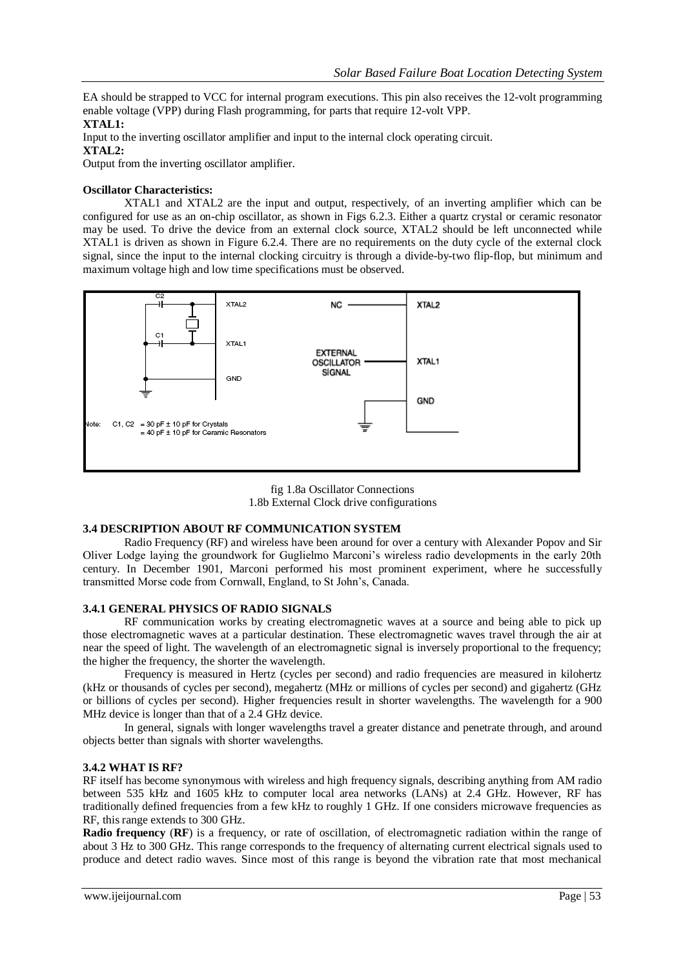EA should be strapped to VCC for internal program executions. This pin also receives the 12-volt programming enable voltage (VPP) during Flash programming, for parts that require 12-volt VPP.

# **XTAL1:**

Input to the inverting oscillator amplifier and input to the internal clock operating circuit. **XTAL2:**

Output from the inverting oscillator amplifier.

# **Oscillator Characteristics:**

XTAL1 and XTAL2 are the input and output, respectively, of an inverting amplifier which can be configured for use as an on-chip oscillator, as shown in Figs 6.2.3. Either a quartz crystal or ceramic resonator may be used. To drive the device from an external clock source, XTAL2 should be left unconnected while XTAL1 is driven as shown in Figure 6.2.4. There are no requirements on the duty cycle of the external clock signal, since the input to the internal clocking circuitry is through a divide-by-two flip-flop, but minimum and maximum voltage high and low time specifications must be observed.





# **3.4 DESCRIPTION ABOUT RF COMMUNICATION SYSTEM**

Radio Frequency (RF) and wireless have been around for over a century with Alexander Popov and Sir Oliver Lodge laying the groundwork for Guglielmo Marconi's wireless radio developments in the early 20th century. In December 1901, Marconi performed his most prominent experiment, where he successfully transmitted Morse code from Cornwall, England, to St John's, Canada.

# **3.4.1 GENERAL PHYSICS OF RADIO SIGNALS**

RF communication works by creating electromagnetic waves at a source and being able to pick up those electromagnetic waves at a particular destination. These electromagnetic waves travel through the air at near the speed of light. The wavelength of an electromagnetic signal is inversely proportional to the frequency; the higher the frequency, the shorter the wavelength.

Frequency is measured in Hertz (cycles per second) and radio frequencies are measured in kilohertz (kHz or thousands of cycles per second), megahertz (MHz or millions of cycles per second) and gigahertz (GHz or billions of cycles per second). Higher frequencies result in shorter wavelengths. The wavelength for a 900 MHz device is longer than that of a 2.4 GHz device.

In general, signals with longer wavelengths travel a greater distance and penetrate through, and around objects better than signals with shorter wavelengths.

# **3.4.2 WHAT IS RF?**

RF itself has become synonymous with wireless and high frequency signals, describing anything from AM radio between 535 kHz and 1605 kHz to computer local area networks (LANs) at 2.4 GHz. However, RF has traditionally defined frequencies from a few kHz to roughly 1 GHz. If one considers microwave frequencies as RF, this range extends to 300 GHz.

**Radio frequency** (**RF**) is a frequency, or rate of oscillation, of electromagnetic radiation within the range of about 3 Hz to 300 GHz. This range corresponds to the frequency of alternating current electrical signals used to produce and detect radio waves. Since most of this range is beyond the vibration rate that most mechanical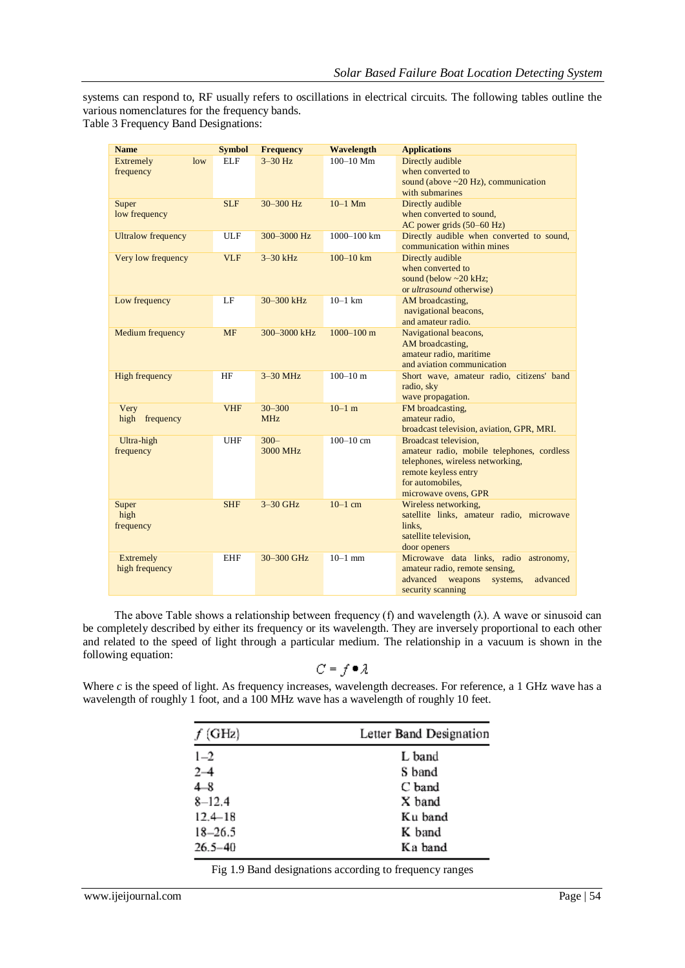systems can respond to, RF usually refers to oscillations in electrical circuits. The following tables outline the various nomenclatures for the frequency bands.

Table 3 Frequency Band Designations:

| <b>Name</b>               | <b>Symbol</b> | <b>Frequency</b> | Wavelength     | <b>Applications</b>                                               |
|---------------------------|---------------|------------------|----------------|-------------------------------------------------------------------|
| <b>Extremely</b><br>low   | <b>ELF</b>    | $3-30$ Hz        | $100 - 10$ Mm  | Directly audible                                                  |
| frequency                 |               |                  |                | when converted to                                                 |
|                           |               |                  |                | sound (above $\sim$ 20 Hz), communication<br>with submarines      |
| Super                     | <b>SLF</b>    | $30 - 300$ Hz    | $10-1$ Mm      | Directly audible                                                  |
| low frequency             |               |                  |                | when converted to sound,                                          |
|                           |               |                  |                | AC power grids (50–60 Hz)                                         |
| <b>Ultralow</b> frequency | ULF           | 300-3000 Hz      | 1000-100 km    | Directly audible when converted to sound,                         |
|                           |               |                  |                | communication within mines                                        |
| Very low frequency        | <b>VLF</b>    | $3-30$ kHz       | $100 - 10$ km  | Directly audible                                                  |
|                           |               |                  |                | when converted to                                                 |
|                           |               |                  |                | sound (below $\sim$ 20 kHz;                                       |
|                           |               |                  |                | or <i>ultrasound</i> otherwise)                                   |
| Low frequency             | LF            | 30-300 kHz       | $10-1$ km      | AM broadcasting,                                                  |
|                           |               |                  |                | navigational beacons,                                             |
|                           |               |                  |                | and amateur radio.                                                |
| <b>Medium</b> frequency   | <b>MF</b>     | 300-3000 kHz     | $1000 - 100$ m | Navigational beacons,                                             |
|                           |               |                  |                | AM broadcasting,<br>amateur radio, maritime                       |
|                           |               |                  |                | and aviation communication                                        |
| <b>High frequency</b>     | HF            | $3-30$ MHz       | $100 - 10$ m   | Short wave, amateur radio, citizens' band                         |
|                           |               |                  |                | radio, sky                                                        |
|                           |               |                  |                | wave propagation.                                                 |
| Very                      | <b>VHF</b>    | $30 - 300$       | $10-1$ m       | FM broadcasting,                                                  |
| high frequency            |               | MHz.             |                | amateur radio.                                                    |
|                           |               |                  |                | broadcast television, aviation, GPR, MRI.                         |
| Ultra-high                | <b>UHF</b>    | $300 -$          | $100 - 10$ cm  | Broadcast television.                                             |
| frequency                 |               | 3000 MHz         |                | amateur radio, mobile telephones, cordless                        |
|                           |               |                  |                | telephones, wireless networking,                                  |
|                           |               |                  |                | remote keyless entry                                              |
|                           |               |                  |                | for automobiles,                                                  |
|                           |               | $3-30$ GHz       | $10-1$ cm      | microwave ovens, GPR                                              |
| Super<br>high             | <b>SHF</b>    |                  |                | Wireless networking,<br>satellite links, amateur radio, microwave |
| frequency                 |               |                  |                | links.                                                            |
|                           |               |                  |                | satellite television,                                             |
|                           |               |                  |                | door openers                                                      |
| <b>Extremely</b>          | <b>EHF</b>    | 30-300 GHz       | $10-1$ mm      | Microwave data links, radio astronomy,                            |
| high frequency            |               |                  |                | amateur radio, remote sensing,                                    |
|                           |               |                  |                | advanced<br>advanced<br>weapons<br>systems,                       |
|                           |               |                  |                | security scanning                                                 |

The above Table shows a relationship between frequency (f) and wavelength ( $\lambda$ ). A wave or sinusoid can be completely described by either its frequency or its wavelength. They are inversely proportional to each other and related to the speed of light through a particular medium. The relationship in a vacuum is shown in the following equation:

$$
C=f\bullet \lambda
$$

Where  $c$  is the speed of light. As frequency increases, wavelength decreases. For reference, a 1 GHz wave has a wavelength of roughly 1 foot, and a 100 MHz wave has a wavelength of roughly 10 feet.

| $f$ (GHz)   | Letter Band Designation |  |  |
|-------------|-------------------------|--|--|
| $1 - 2$     | L band                  |  |  |
| $2 - 4$     | S band                  |  |  |
| $4 - 8$     | C band                  |  |  |
| $8 - 12.4$  | X band                  |  |  |
| $12.4 - 18$ | Ku band                 |  |  |
| $18 - 26.5$ | K band                  |  |  |
| $26.5 - 40$ | Ka band                 |  |  |

Fig 1.9 Band designations according to frequency ranges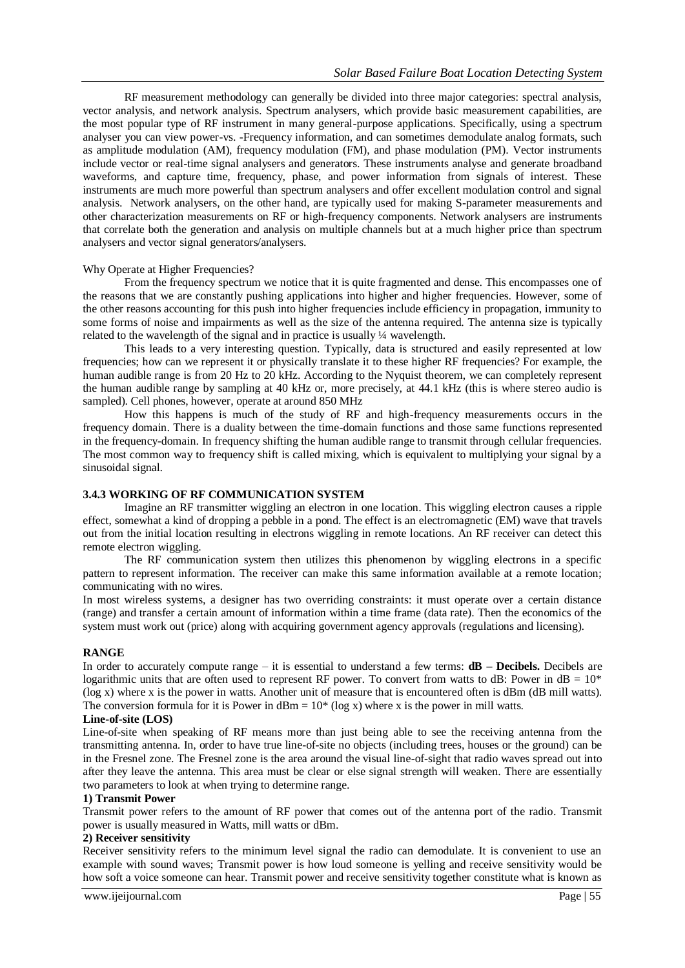RF measurement methodology can generally be divided into three major categories: spectral analysis, vector analysis, and network analysis. Spectrum analysers, which provide basic measurement capabilities, are the most popular type of RF instrument in many general-purpose applications. Specifically, using a spectrum analyser you can view power-vs. -Frequency information, and can sometimes demodulate analog formats, such as amplitude modulation (AM), frequency modulation (FM), and phase modulation (PM). Vector instruments include vector or real-time signal analysers and generators. These instruments analyse and generate broadband waveforms, and capture time, frequency, phase, and power information from signals of interest. These instruments are much more powerful than spectrum analysers and offer excellent modulation control and signal analysis. Network analysers, on the other hand, are typically used for making S-parameter measurements and other characterization measurements on RF or high-frequency components. Network analysers are instruments that correlate both the generation and analysis on multiple channels but at a much higher price than spectrum analysers and vector signal generators/analysers.

#### Why Operate at Higher Frequencies?

From the frequency spectrum we notice that it is quite fragmented and dense. This encompasses one of the reasons that we are constantly pushing applications into higher and higher frequencies. However, some of the other reasons accounting for this push into higher frequencies include efficiency in propagation, immunity to some forms of noise and impairments as well as the size of the antenna required. The antenna size is typically related to the wavelength of the signal and in practice is usually ¼ wavelength.

This leads to a very interesting question. Typically, data is structured and easily represented at low frequencies; how can we represent it or physically translate it to these higher RF frequencies? For example, the human audible range is from 20 Hz to 20 kHz. According to the Nyquist theorem, we can completely represent the human audible range by sampling at 40 kHz or, more precisely, at 44.1 kHz (this is where stereo audio is sampled). Cell phones, however, operate at around 850 MHz

How this happens is much of the study of RF and high-frequency measurements occurs in the frequency domain. There is a duality between the time-domain functions and those same functions represented in the frequency-domain. In frequency shifting the human audible range to transmit through cellular frequencies. The most common way to frequency shift is called mixing, which is equivalent to multiplying your signal by a sinusoidal signal.

# **3.4.3 WORKING OF RF COMMUNICATION SYSTEM**

Imagine an RF transmitter wiggling an electron in one location. This wiggling electron causes a ripple effect, somewhat a kind of dropping a pebble in a pond. The effect is an electromagnetic (EM) wave that travels out from the initial location resulting in electrons wiggling in remote locations. An RF receiver can detect this remote electron wiggling.

The RF communication system then utilizes this phenomenon by wiggling electrons in a specific pattern to represent information. The receiver can make this same information available at a remote location; communicating with no wires.

In most wireless systems, a designer has two overriding constraints: it must operate over a certain distance (range) and transfer a certain amount of information within a time frame (data rate). Then the economics of the system must work out (price) along with acquiring government agency approvals (regulations and licensing).

#### **RANGE**

In order to accurately compute range – it is essential to understand a few terms: **dB – Decibels.** Decibels are logarithmic units that are often used to represent RF power. To convert from watts to dB: Power in  $dB = 10^*$ (log x) where x is the power in watts. Another unit of measure that is encountered often is dBm (dB mill watts). The conversion formula for it is Power in dBm =  $10^*$  (log x) where x is the power in mill watts.

#### **Line-of-site (LOS)**

Line-of-site when speaking of RF means more than just being able to see the receiving antenna from the transmitting antenna. In, order to have true line-of-site no objects (including trees, houses or the ground) can be in the Fresnel zone. The Fresnel zone is the area around the visual line-of-sight that radio waves spread out into after they leave the antenna. This area must be clear or else signal strength will weaken. There are essentially two parameters to look at when trying to determine range.

#### **1) Transmit Power**

Transmit power refers to the amount of RF power that comes out of the antenna port of the radio. Transmit power is usually measured in Watts, mill watts or dBm.

# **2) Receiver sensitivity**

Receiver sensitivity refers to the minimum level signal the radio can demodulate. It is convenient to use an example with sound waves; Transmit power is how loud someone is yelling and receive sensitivity would be how soft a voice someone can hear. Transmit power and receive sensitivity together constitute what is known as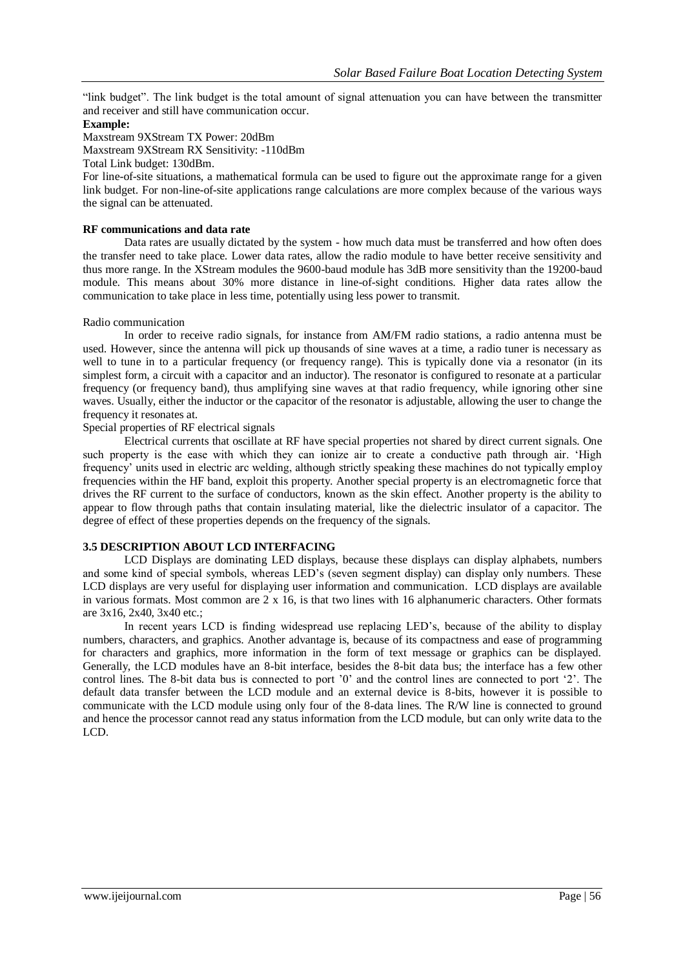"link budget". The link budget is the total amount of signal attenuation you can have between the transmitter and receiver and still have communication occur.

# **Example:**

Maxstream 9XStream TX Power: 20dBm

Maxstream 9XStream RX Sensitivity: -110dBm

Total Link budget: 130dBm.

For line-of-site situations, a mathematical formula can be used to figure out the approximate range for a given link budget. For non-line-of-site applications range calculations are more complex because of the various ways the signal can be attenuated.

#### **RF communications and data rate**

Data rates are usually dictated by the system - how much data must be transferred and how often does the transfer need to take place. Lower data rates, allow the radio module to have better receive sensitivity and thus more range. In the XStream modules the 9600-baud module has 3dB more sensitivity than the 19200-baud module. This means about 30% more distance in line-of-sight conditions. Higher data rates allow the communication to take place in less time, potentially using less power to transmit.

#### Radio communication

In order to receive radio signals, for instance from AM/FM radio stations, a radio antenna must be used. However, since the antenna will pick up thousands of sine waves at a time, a radio tuner is necessary as well to tune in to a particular frequency (or frequency range). This is typically done via a resonator (in its simplest form, a circuit with a capacitor and an inductor). The resonator is configured to resonate at a particular frequency (or frequency band), thus amplifying sine waves at that radio frequency, while ignoring other sine waves. Usually, either the inductor or the capacitor of the resonator is adjustable, allowing the user to change the frequency it resonates at.

# Special properties of RF electrical signals

Electrical currents that oscillate at RF have special properties not shared by direct current signals. One such property is the ease with which they can ionize air to create a conductive path through air. 'High frequency' units used in electric arc welding, although strictly speaking these machines do not typically employ frequencies within the HF band, exploit this property. Another special property is an electromagnetic force that drives the RF current to the surface of conductors, known as the skin effect. Another property is the ability to appear to flow through paths that contain insulating material, like the dielectric insulator of a capacitor. The degree of effect of these properties depends on the frequency of the signals.

### **3.5 DESCRIPTION ABOUT LCD INTERFACING**

LCD Displays are dominating LED displays, because these displays can display alphabets, numbers and some kind of special symbols, whereas LED's (seven segment display) can display only numbers. These LCD displays are very useful for displaying user information and communication. LCD displays are available in various formats. Most common are  $2 \times 16$ , is that two lines with 16 alphanumeric characters. Other formats are 3x16, 2x40, 3x40 etc.;

In recent years LCD is finding widespread use replacing LED's, because of the ability to display numbers, characters, and graphics. Another advantage is, because of its compactness and ease of programming for characters and graphics, more information in the form of text message or graphics can be displayed. Generally, the LCD modules have an 8-bit interface, besides the 8-bit data bus; the interface has a few other control lines. The 8-bit data bus is connected to port '0' and the control lines are connected to port '2'. The default data transfer between the LCD module and an external device is 8-bits, however it is possible to communicate with the LCD module using only four of the 8-data lines. The R/W line is connected to ground and hence the processor cannot read any status information from the LCD module, but can only write data to the LCD.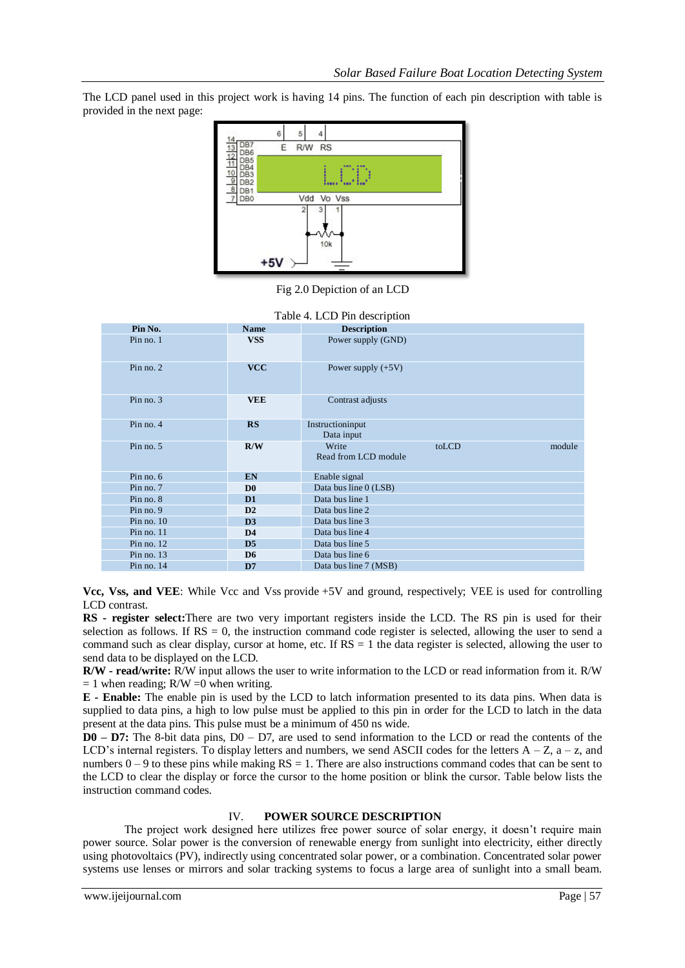The LCD panel used in this project work is having 14 pins. The function of each pin description with table is provided in the next page:



Fig 2.0 Depiction of an LCD

| Table 4. LCD Pin description |                |                                |       |        |
|------------------------------|----------------|--------------------------------|-------|--------|
| Pin No.                      | <b>Name</b>    | <b>Description</b>             |       |        |
| Pin no. 1                    | <b>VSS</b>     | Power supply (GND)             |       |        |
| Pin no. 2                    | <b>VCC</b>     | Power supply $(+5V)$           |       |        |
| Pin no. 3                    | <b>VEE</b>     | Contrast adjusts               |       |        |
| Pin no. 4                    | RS             | Instructioninput<br>Data input |       |        |
| Pin no. 5                    | R/W            | Write<br>Read from LCD module  | toLCD | module |
|                              |                |                                |       |        |
| Pin no. 6                    | <b>EN</b>      | Enable signal                  |       |        |
| Pin no. 7                    | D <sub>0</sub> | Data bus line 0 (LSB)          |       |        |
| Pin no. 8                    | D1             | Data bus line 1                |       |        |
| Pin no. 9                    | D <sub>2</sub> | Data bus line 2                |       |        |
| Pin no. $10$                 | D3             | Data bus line 3                |       |        |
| Pin no. $11$                 | D <sub>4</sub> | Data bus line 4                |       |        |
| Pin no. 12                   | D <sub>5</sub> | Data bus line 5                |       |        |
| Pin no. 13                   | D <sub>6</sub> | Data bus line 6                |       |        |

**Vcc, Vss, and VEE**: While Vcc and Vss provide +5V and ground, respectively; VEE is used for controlling LCD contrast.

**RS - register select:**There are two very important registers inside the LCD. The RS pin is used for their selection as follows. If  $RS = 0$ , the instruction command code register is selected, allowing the user to send a command such as clear display, cursor at home, etc. If  $RS = 1$  the data register is selected, allowing the user to send data to be displayed on the LCD.

**R/W - read/write:** R/W input allows the user to write information to the LCD or read information from it. R/W  $= 1$  when reading; R/W  $= 0$  when writing.

**E - Enable:** The enable pin is used by the LCD to latch information presented to its data pins. When data is supplied to data pins, a high to low pulse must be applied to this pin in order for the LCD to latch in the data present at the data pins. This pulse must be a minimum of 450 ns wide.

**D0 – D7:** The 8-bit data pins, D0 – D7, are used to send information to the LCD or read the contents of the LCD's internal registers. To display letters and numbers, we send ASCII codes for the letters  $A - Z$ ,  $a - z$ , and numbers  $0 - 9$  to these pins while making  $RS = 1$ . There are also instructions command codes that can be sent to the LCD to clear the display or force the cursor to the home position or blink the cursor. Table below lists the instruction command codes.

# IV. **POWER SOURCE DESCRIPTION**

The project work designed here utilizes free power source of solar energy, it doesn't require main power source. Solar power is the conversion of renewable energy from sunlight into electricity, either directly using photovoltaics (PV), indirectly using concentrated solar power, or a combination. Concentrated solar power systems use lenses or mirrors and solar tracking systems to focus a large area of sunlight into a small beam.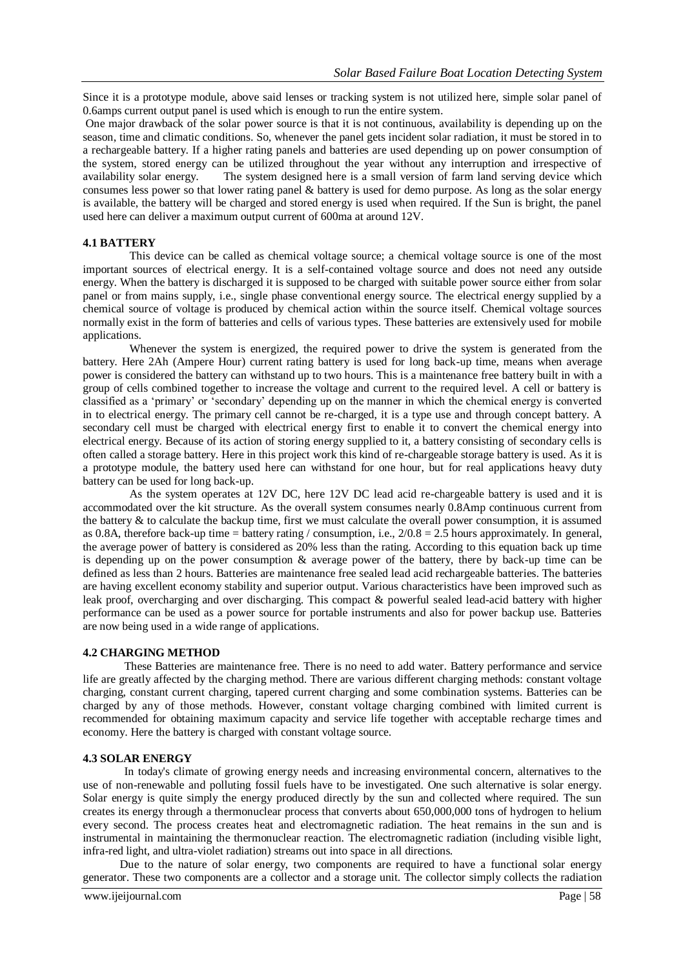Since it is a prototype module, above said lenses or tracking system is not utilized here, simple solar panel of 0.6amps current output panel is used which is enough to run the entire system.

One major drawback of the solar power source is that it is not continuous, availability is depending up on the season, time and climatic conditions. So, whenever the panel gets incident solar radiation, it must be stored in to a rechargeable battery. If a higher rating panels and batteries are used depending up on power consumption of the system, stored energy can be utilized throughout the year without any interruption and irrespective of availability solar energy. The system designed here is a small version of farm land serving device which consumes less power so that lower rating panel & battery is used for demo purpose. As long as the solar energy is available, the battery will be charged and stored energy is used when required. If the Sun is bright, the panel used here can deliver a maximum output current of 600ma at around 12V.

# **4.1 BATTERY**

This device can be called as chemical voltage source; a chemical voltage source is one of the most important sources of electrical energy. It is a self-contained voltage source and does not need any outside energy. When the battery is discharged it is supposed to be charged with suitable power source either from solar panel or from mains supply, i.e., single phase conventional energy source. The electrical energy supplied by a chemical source of voltage is produced by chemical action within the source itself. Chemical voltage sources normally exist in the form of batteries and cells of various types. These batteries are extensively used for mobile applications.

Whenever the system is energized, the required power to drive the system is generated from the battery. Here 2Ah (Ampere Hour) current rating battery is used for long back-up time, means when average power is considered the battery can withstand up to two hours. This is a maintenance free battery built in with a group of cells combined together to increase the voltage and current to the required level. A cell or battery is classified as a 'primary' or 'secondary' depending up on the manner in which the chemical energy is converted in to electrical energy. The primary cell cannot be re-charged, it is a type use and through concept battery. A secondary cell must be charged with electrical energy first to enable it to convert the chemical energy into electrical energy. Because of its action of storing energy supplied to it, a battery consisting of secondary cells is often called a storage battery. Here in this project work this kind of re-chargeable storage battery is used. As it is a prototype module, the battery used here can withstand for one hour, but for real applications heavy duty battery can be used for long back-up.

As the system operates at 12V DC, here 12V DC lead acid re-chargeable battery is used and it is accommodated over the kit structure. As the overall system consumes nearly 0.8Amp continuous current from the battery  $\&$  to calculate the backup time, first we must calculate the overall power consumption, it is assumed as 0.8A, therefore back-up time = battery rating / consumption, i.e.,  $2/0.8 = 2.5$  hours approximately. In general, the average power of battery is considered as 20% less than the rating. According to this equation back up time is depending up on the power consumption & average power of the battery, there by back-up time can be defined as less than 2 hours. Batteries are maintenance free sealed lead acid rechargeable batteries. The batteries are having excellent economy stability and superior output. Various characteristics have been improved such as leak proof, overcharging and over discharging. This compact & powerful sealed lead-acid battery with higher performance can be used as a power source for portable instruments and also for power backup use. Batteries are now being used in a wide range of applications.

# **4.2 CHARGING METHOD**

These Batteries are maintenance free. There is no need to add water. Battery performance and service life are greatly affected by the charging method. There are various different charging methods: constant voltage charging, constant current charging, tapered current charging and some combination systems. Batteries can be charged by any of those methods. However, constant voltage charging combined with limited current is recommended for obtaining maximum capacity and service life together with acceptable recharge times and economy. Here the battery is charged with constant voltage source.

#### **4.3 SOLAR ENERGY**

In today's climate of growing energy needs and increasing environmental concern, alternatives to the use of non-renewable and polluting fossil fuels have to be investigated. One such alternative is solar energy. Solar energy is quite simply the energy produced directly by the sun and collected where required. The sun creates its energy through a thermonuclear process that converts about 650,000,000 tons of hydrogen to helium every second. The process creates heat and electromagnetic radiation. The heat remains in the sun and is instrumental in maintaining the thermonuclear reaction. The electromagnetic radiation (including visible light, infra-red light, and ultra-violet radiation) streams out into space in all directions.

 Due to the nature of solar energy, two components are required to have a functional solar energy generator. These two components are a collector and a storage unit. The collector simply collects the radiation